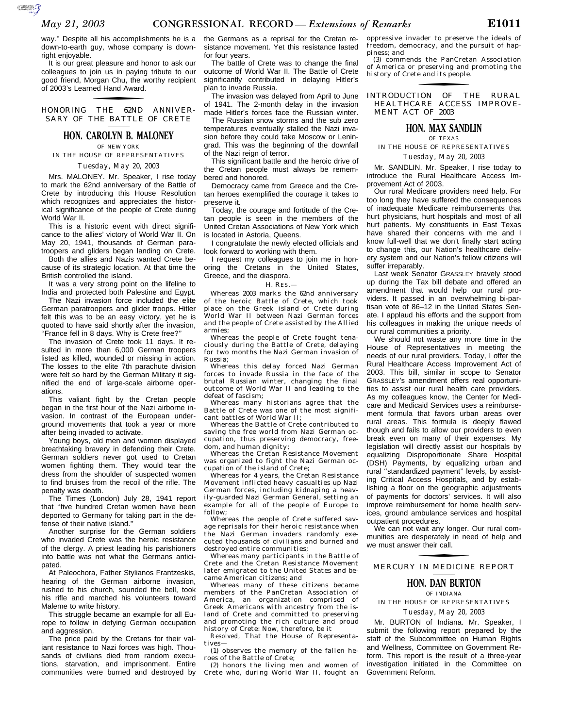way.'' Despite all his accomplishments he is a down-to-earth guy, whose company is downright enjoyable.

It is our great pleasure and honor to ask our colleagues to join us in paying tribute to our good friend, Morgan Chu, the worthy recipient of 2003's Learned Hand Award.

HONORING THE 62ND ANNIVER-f SARY OF THE BATTLE OF CRETE

# **HON. CAROLYN B. MALONEY**

OF NEW YORK

IN THE HOUSE OF REPRESENTATIVES

### *Tuesday, May 20, 2003*

Mrs. MALONEY. Mr. Speaker, I rise today to mark the 62nd anniversary of the Battle of Crete by introducing this House Resolution which recognizes and appreciates the historical significance of the people of Crete during World War II.

This is a historic event with direct significance to the allies' victory of World War II. On May 20, 1941, thousands of German paratroopers and gliders began landing on Crete.

Both the allies and Nazis wanted Crete because of its strategic location. At that time the British controlled the island.

It was a very strong point on the lifeline to India and protected both Palestine and Egypt.

The Nazi invasion force included the elite German paratroopers and glider troops. Hitler felt this was to be an easy victory, yet he is quoted to have said shortly after the invasion, ''France fell in 8 days. Why is Crete free?''

The invasion of Crete took 11 days. It resulted in more than 6,000 German troopers listed as killed, wounded or missing in action. The losses to the elite 7th parachute division were felt so hard by the German Military it signified the end of large-scale airborne operations.

This valiant fight by the Cretan people began in the first hour of the Nazi airborne invasion. In contrast of the European underground movements that took a year or more after being invaded to activate.

Young boys, old men and women displayed breathtaking bravery in defending their Crete. German soldiers never got used to Cretan women fighting them. They would tear the dress from the shoulder of suspected women to find bruises from the recoil of the rifle. The penalty was death.

The Times (London) July 28, 1941 report that ''five hundred Cretan women have been deported to Germany for taking part in the defense of their native island.''

Another surprise for the German soldiers who invaded Crete was the heroic resistance of the clergy. A priest leading his parishioners into battle was not what the Germans anticipated.

At Paleochora, Father Stylianos Frantzeskis, hearing of the German airborne invasion, rushed to his church, sounded the bell, took his rifle and marched his volunteers toward Maleme to write history.

This struggle became an example for all Europe to follow in defying German occupation and aggression.

The price paid by the Cretans for their valiant resistance to Nazi forces was high. Thousands of civilians died from random executions, starvation, and imprisonment. Entire communities were burned and destroyed by the Germans as a reprisal for the Cretan resistance movement. Yet this resistance lasted for four years.

The battle of Crete was to change the final outcome of World War II. The Battle of Crete significantly contributed in delaying Hitler's plan to invade Russia.

The invasion was delayed from April to June of 1941. The 2-month delay in the invasion made Hitler's forces face the Russian winter.

The Russian snow storms and the sub zero temperatures eventually stalled the Nazi invasion before they could take Moscow or Leningrad. This was the beginning of the downfall of the Nazi reign of terror.

This significant battle and the heroic drive of the Cretan people must always be remembered and honored.

Democracy came from Greece and the Cretan heroes exemplified the courage it takes to preserve it.

Today, the courage and fortitude of the Cretan people is seen in the members of the United Cretan Associations of New York which is located in Astoria, Queens.

I congratulate the newly elected officials and look forward to working with them.

I request my colleagues to join me in honoring the Cretans in the United States, Greece, and the diaspora.

## H. RES.—

Whereas 2003 marks the 62nd anniversary of the heroic Battle of Crete, which took place on the Greek island of Crete during World War II between Nazi German forces and the people of Crete assisted by the Allied armies;

Whereas the people of Crete fought tenaciously during the Battle of Crete, delaying for two months the Nazi German invasion of Russia;

Whereas this delay forced Nazi German forces to invade Russia in the face of the brutal Russian winter, changing the final outcome of World War II and leading to the defeat of fascism;

Whereas many historians agree that the Battle of Crete was one of the most significant battles of World War II;

Whereas the Battle of Crete contributed to saving the free world from Nazi German occupation, thus preserving democracy, freedom, and human dignity;

Whereas the Cretan Resistance Movement was organized to fight the Nazi German occupation of the island of Crete;

Whereas for 4 years, the Cretan Resistance Movement inflicted heavy casualties up Nazi German forces, including kidnaping a heavily-guarded Nazi German General, setting an example for all of the people of Europe to follow;

Whereas the people of Crete suffered savage reprisals for their heroic resistance when the Nazi German invaders randomly executed thousands of civilians and burned and destroyed entire communities;

Whereas many participants in the Battle of Crete and the Cretan Resistance Movement later emigrated to the United States and became American citizens; and

Whereas many of these citizens became members of the PanCretan Association of America, an organization comprised of Greek Americans with ancestry from the island of Crete and committed to preserving and promoting the rich culture and proud history of Crete: Now, therefore, be it

*Resolved,* That the House of Representatives—

(1) observes the memory of the fallen heroes of the Battle of Crete;

(2) honors the living men and women of Crete who, during World War II, fought an

oppressive invader to preserve the ideals of freedom, democracy, and the pursuit of happiness; and

(3) commends the PanCretan Association of America or preserving and promoting the history of Crete and its people.

INTRODUCTION OF THE RURAL HEALTHCARE ACCESS IMPROVE-MENT ACT OF 2003

# **HON. MAX SANDLIN**

OF TEXAS IN THE HOUSE OF REPRESENTATIVES

*Tuesday, May 20, 2003*

Mr. SANDLIN. Mr. Speaker, I rise today to introduce the Rural Healthcare Access Improvement Act of 2003.

Our rural Medicare providers need help. For too long they have suffered the consequences of inadequate Medicare reimbursements that hurt physicians, hurt hospitals and most of all hurt patients. My constituents in East Texas have shared their concerns with me and I know full-well that we don't finally start acting to change this, our Nation's healthcare delivery system and our Nation's fellow citizens will suffer irreparably.

Last week Senator GRASSLEY bravely stood up during the Tax bill debate and offered an amendment that would help our rural providers. It passed in an overwhelming bi-partisan vote of 86–12 in the United States Senate. I applaud his efforts and the support from his colleagues in making the unique needs of our rural communities a priority.

We should not waste any more time in the House of Representatives in meeting the needs of our rural providers. Today, I offer the Rural Healthcare Access Improvement Act of 2003. This bill, similar in scope to Senator GRASSLEY's amendment offers real opportunities to assist our rural health care providers. As my colleagues know, the Center for Medicare and Medicaid Services uses a reimbursement formula that favors urban areas over rural areas. This formula is deeply flawed though and fails to allow our providers to even break even on many of their expenses. My legislation will directly assist our hospitals by equalizing Disproportionate Share Hospital (DSH) Payments, by equalizing urban and rural ''standardized payment'' levels, by assisting Critical Access Hospitals, and by establishing a floor on the geographic adjustments of payments for doctors' services. It will also improve reimbursement for home health services, ground ambulance services and hospital outpatient procedures.

We can not wait any longer. Our rural communities are desperately in need of help and we must answer their call.

# MERCURY IN MEDICINE REPORT

# **HON. DAN BURTON**

OF INDIANA

IN THE HOUSE OF REPRESENTATIVES *Tuesday, May 20, 2003*

Mr. BURTON of Indiana. Mr. Speaker, I submit the following report prepared by the staff of the Subcommittee on Human Rights and Wellness, Committee on Government Reform. This report is the result of a three-year investigation initiated in the Committee on Government Reform.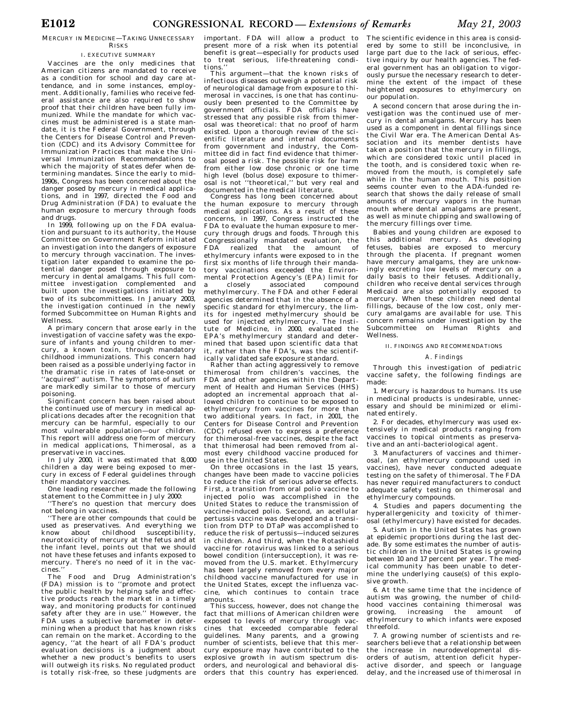### MERCURY IN MEDICINE—TAKING UNNECESSARY RISKS

# I. EXECUTIVE SUMMARY

Vaccines are the only medicines that American citizens are mandated to receive as a condition for school and day care attendance, and in some instances, employment. Additionally, families who receive federal assistance are also required to show proof that their children have been fully immunized. While the mandate for which vaccines must be administered is a state mandate, it is the Federal Government, through the Centers for Disease Control and Prevention (CDC) and its Advisory Committee for Immunization Practices that make the Universal Immunization Recommendations to which the majority of states defer when determining mandates. Since the early to mid– 1990s, Congress has been concerned about the danger posed by mercury in medical applications, and in 1997, directed the Food and Drug Administration (FDA) to evaluate the human exposure to mercury through foods and drugs.

In 1999, following up on the FDA evaluation and pursuant to its authority, the House Committee on Government Reform initiated an investigation into the dangers of exposure to mercury through vaccination. The investigation later expanded to examine the potential danger posed through exposure to mercury in dental amalgams. This full committee investigation complemented and built upon the investigations initiated by two of its subcommittees. In January 2003, the investigation continued in the newly formed Subcommittee on Human Rights and Wellness.

A primary concern that arose early in the investigation of vaccine safety was the exposure of infants and young children to mercury, a known toxin, through mandatory childhood immunizations. This concern had been raised as a possible underlying factor in the dramatic rise in rates of late-onset or ''acquired'' autism. The symptoms of autism are markedly similar to those of mercury poisoning.

Significant concern has been raised about the continued use of mercury in medical applications decades after the recognition that mercury can be harmful, especially to our most vulnerable population—our children. This report will address one form of mercury in medical applications, Thimerosal, as a preservative in vaccines.

In July 2000, it was estimated that 8,000 children a day were being exposed to mercury in excess of Federal guidelines through their mandatory vaccines.

One leading researcher made the following statement to the Committee in July 2000:

''There's no question that mercury does not belong in vaccines.

'There are other compounds that could be used as preservatives. And everything we know about childhood susceptibility, neurotoxicity of mercury at the fetus and at the infant level, points out that we should not have these fetuses and infants exposed to mercury. There's no need of it in the vaccines.''

The Food and Drug Administration's (FDA) mission is to ''promote and protect the public health by helping safe and effective products reach the market in a timely way, and monitoring products for continued safety after they are in use.'' However, the FDA uses a subjective barometer in determining when a product that has known risks can remain on the market. According to the agency, "at the heart of all FDA's product evaluation decisions is a judgment about whether a new product's benefits to users will outweigh its risks. No regulated product is totally risk-free, so these judgments are

important. FDA will allow a product to present more of a risk when its potential benefit is great—especially for products used to treat serious, life-threatening conditions.''

This argument—that the known risks of infectious diseases outweigh a potential risk of neurological damage from exposure to thimerosal in vaccines, is one that has continuously been presented to the Committee by government officials. FDA officials have stressed that any possible risk from thimerosal was theoretical: that no proof of harm existed. Upon a thorough review of the scientific literature and internal documents from government and industry, the Committee did in fact find evidence that thimerosal posed a risk. The possible risk for harm from either low dose chronic or one time high level (bolus dose) exposure to thimerosal is not ''theoretical,'' but very real and documented in the medical literature.

Congress has long been concerned about the human exposure to mercury through medical applications. As a result of these concerns, in 1997, Congress instructed the FDA to evaluate the human exposure to mercury through drugs and foods. Through this Congressionally mandated evaluation, the FDA realized that the amount of ethylmercury infants were exposed to in the first six months of life through their mandatory vaccinations exceeded the Environmental Protection Agency's (EPA) limit for a closely associated compound methylmercury. The FDA and other Federal agencies determined that in the absence of a specific standard for ethylmercury, the limits for ingested methylmercury should be used for injected ethylmercury. The Institute of Medicine, in 2000, evaluated the EPA's methylmercury standard and determined that based upon scientific data that it, rather than the FDA's, was the scientifically validated safe exposure standard.

Rather than acting aggressively to remove thimerosal from children's vaccines, the FDA and other agencies within the Department of Health and Human Services (HHS) adopted an incremental approach that allowed children to continue to be exposed to ethylmercury from vaccines for more than two additional years. In fact, in 2001, the Centers for Disease Control and Prevention (CDC) refused even to express a preference for thimerosal-free vaccines, despite the fact that thimerosal had been removed from almost every childhood vaccine produced for use in the United States.

On three occasions in the last 15 years, changes have been made to vaccine policies to reduce the risk of serious adverse effects. First, a transition from oral polio vaccine to injected polio was accomplished in the United States to reduce the transmission of vaccine-induced polio. Second, an acellular pertussis vaccine was developed and a transition from DTP to DTaP was accomplished to reduce the risk of pertussis—induced seizures in children. And third, when the Rotashield vaccine for rotavirus was linked to a serious bowel condition (intersucception), it was removed from the U.S. market. Ethylmercury has been largely removed from every major childhood vaccine manufactured for use in the United States, except the influenza vaccine, which continues to contain trace amounts.

This success, however, does not change the fact that millions of American children were exposed to levels of mercury through vaccines that exceeded comparable federal guidelines. Many parents, and a growing number of scientists, believe that this mercury exposure may have contributed to the explosive growth in autism spectrum disorders, and neurological and behavioral disorders that this country has experienced.

The scientific evidence in this area is considered by some to still be inconclusive, in large part due to the lack of serious, effective inquiry by our health agencies. The federal government has an obligation to vigorously pursue the necessary research to determine the extent of the impact of these heightened exposures to ethylmercury on our population.

A second concern that arose during the investigation was the continued use of mercury in dental amalgams. Mercury has been used as a component in dental fillings since the Civil War era. The American Dental Association and its member dentists have taken a position that the mercury in fillings, which are considered toxic until placed in the tooth, and is considered toxic when removed from the mouth, is completely safe while in the human mouth. This position seems counter even to the ADA-funded research that shows the daily release of small amounts of mercury vapors in the human mouth where dental amalgams are present, as well as minute chipping and swallowing of the mercury fillings over time.

Babies and young children are exposed to this additional mercury. As developing fetuses, babies are exposed to mercury through the placenta. If pregnant women have mercury amalgams, they are unknowingly excreting low levels of mercury on a daily basis to their fetuses. Additionally, children who receive dental services through Medicaid are also potentially exposed to mercury. When these children need dental fillings, because of the low cost, only mercury amalgams are available for use. This concern remains under investigation by the Subcommittee on Human Rights and Wellness.

#### II. FINDINGS AND RECOMMENDATIONS

#### *A. Findings*

Through this investigation of pediatric vaccine safety, the following findings are made:

1. Mercury is hazardous to humans. Its use in medicinal products is undesirable, unnecessary and should be minimized or eliminated entirely.

2. For decades, ethylmercury was used extensively in medical products ranging from vaccines to topical ointments as preservative and an anti-bacteriological agent.

3. Manufacturers of vaccines and thimerosal, (an ethylmercury compound used in vaccines), have never conducted adequate testing on the safety of thimerosal. The FDA has never required manufacturers to conduct adequate safety testing on thimerosal and ethylmercury compounds.

4. Studies and papers documenting the hyperallergenicity and toxicity of thimerosal (ethylmercury) have existed for decades.

5. Autism in the United States has grown at epidemic proportions during the last decade. By some estimates the number of autistic children in the United States is growing between 10 and 17 percent per year. The medical community has been unable to determine the underlying cause(s) of this explosive growth.

6. At the same time that the incidence of autism was growing, the number of childhood vaccines containing thimerosal was growing, increasing the amount of ethylmercury to which infants were exposed threefold.

7. A growing number of scientists and researchers believe that a relationship between the increase in neurodevelopmental disorders of autism, attention deficit hyperactive disorder, and speech or language delay, and the increased use of thimerosal in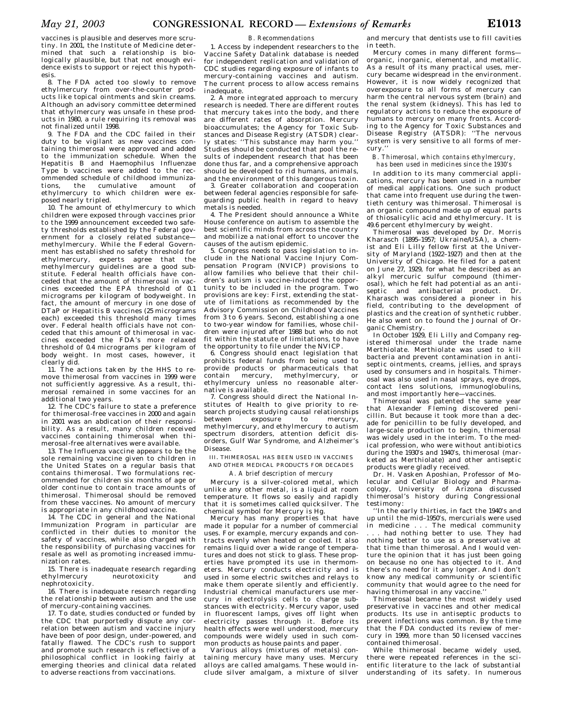#### vaccines is plausible and deserves more scrutiny. In 2001, the Institute of Medicine determined that such a relationship is biologically plausible, but that not enough evidence exists to support or reject this hypothesis.

8. The FDA acted too slowly to remove ethylmercury from over-the-counter products like topical ointments and skin creams. Although an advisory committee determined that ethylmercury was unsafe in these products in 1980, a rule requiring its removal was not finalized until 1998.

9. The FDA and the CDC failed in their duty to be vigilant as new vaccines containing thimerosal were approved and added to the immunization schedule. When the Hepatitis B and Haemophilus Influenzae Type b vaccines were added to the recommended schedule of childhood immunizations, the cumulative amount of ethylmercury to which children were exposed nearly tripled.

10. The amount of ethylmercury to which children were exposed through vaccines prior to the 1999 announcement exceeded two safety thresholds established by the Federal government for a closely related substance methylmercury. While the Federal Government has established no safety threshold for ethylmercury, experts agree that the methylmercury guidelines are a good substitute. Federal health officials have conceded that the amount of thimerosal in vaccines exceeded the EPA threshold of 0.1 micrograms per kilogram of bodyweight. In fact, the amount of mercury in one dose of DTaP or Hepatitis B vaccines (25 micrograms each) exceeded this threshold many times over. Federal health officials have not conceded that this amount of thimerosal in vaccines exceeded the FDA's more relaxed threshold of 0.4 micrograms per kilogram of body weight. In most cases, however, it clearly did.

11. The actions taken by the HHS to remove thimerosal from vaccines in 1999 were not sufficiently aggressive. As a result, thimerosal remained in some vaccines for an additional two years.

12. The CDC's failure to state a preference for thimerosal-free vaccines in 2000 and again in 2001 was an abdication of their responsibility. As a result, many children received vaccines containing thimerosal when thimerosal-free alternatives were available.

13. The Influenza vaccine appears to be the sole remaining vaccine given to children in the United States on a regular basis that contains thimerosal. Two formulations recommended for children six months of age or older continue to contain trace amounts of thimerosal. Thimerosal should be removed from these vaccines. No amount of mercury is appropriate in any childhood vaccine.

14. The CDC in general and the National Immunization Program in particular are conflicted in their duties to monitor the safety of vaccines, while also charged with the responsibility of purchasing vaccines for resale as well as promoting increased immunization rates.

15. There is inadequate research regarding ethylmercury neurotoxicity and nephrotoxicity.

16. There is inadequate research regarding the relationship between autism and the use of mercury-containing vaccines.

17. To date, studies conducted or funded by the CDC that purportedly dispute any correlation between autism and vaccine injury have been of poor design, under-powered, and fatally flawed. The CDC's rush to support and promote such research is reflective of a philosophical conflict in looking fairly at emerging theories and clinical data related to adverse reactions from vaccinations.

#### *B. Recommendations*

1. Access by independent researchers to the Vaccine Safety Datalink database is needed for independent replication and validation of CDC studies regarding exposure of infants to mercury-containing vaccines and autism. The current process to allow access remains inadequate.

2. A more integrated approach to mercury research is needed. There are different routes that mercury takes into the body, and there are different rates of absorption. Mercury bioaccumulates; the Agency for Toxic Substances and Disease Registry (ATSDR) clearly states: ''This substance may harm you.'' Studies should be conducted that pool the results of independent research that has been done thus far, and a comprehensive approach should be developed to rid humans, animals, and the environment of this dangerous toxin.

3. Greater collaboration and cooperation between federal agencies responsible for safeguarding public health in regard to heavy metals is needed.

4. The President should announce a White House conference on autism to assemble the best scientific minds from across the country and mobilize a national effort to uncover the causes of the autism epidemic.

5. Congress needs to pass legislation to include in the National Vaccine Injury Compensation Program (NVICP) provisions to allow families who believe that their children's autism is vaccine-induced the opportunity to be included in the program. Two provisions are key: First, extending the statute of limitations as recommended by the Advisory Commission on Childhood Vaccines from 3 to 6 years. Second, establishing a one to two-year window for families, whose children were injured after 1988 but who do not fit within the statute of limitations, to have the opportunity to file under the NVICP.

6. Congress should enact legislation that prohibits federal funds from being used to provide products or pharmaceuticals that<br>contain mercury, methylmercury, or contain mercury, methylmercury, or ethylmercury unless no reasonable alternative is available.

7. Congress should direct the National Institutes of Health to give priority to research projects studying causal relationships<br>between exposure to mercury, between exposure methylmercury, and ethylmercury to autism spectrum disorders, attention deficit disorders, Gulf War Syndrome, and Alzheimer's Disease.

III. THIMEROSAL HAS BEEN USED IN VACCINES AND OTHER MEDICAL PRODUCTS FOR DECADES

*A. A brief description of mercury* 

Mercury is a silver-colored metal, which unlike any other metal, is a liquid at room temperature. It flows so easily and rapidly that it is sometimes called quicksilver. The chemical symbol for Mercury is Hg.

Mercury has many properties that have made it popular for a number of commercial uses. For example, mercury expands and contracts evenly when heated or cooled. It also remains liquid over a wide range of temperatures and does not stick to glass. These properties have prompted its use in thermometers. Mercury conducts electricity and is used in some electric switches and relays to make them operate silently and efficiently. Industrial chemical manufacturers use mercury in electrolysis cells to charge substances with electricity. Mercury vapor, used in fluorescent lamps, gives off light when electricity passes through it. Before its health effects were well understood, mercury compounds were widely used in such common products as house paints and paper.

Various alloys (mixtures of metals) containing mercury have many uses. Mercury alloys are called amalgams. These would include silver amalgam, a mixture of silver

and mercury that dentists use to fill cavities in teeth.

Mercury comes in many different forms organic, inorganic, elemental, and metallic. As a result of its many practical uses, mercury became widespread in the environment. However, it is now widely recognized that overexposure to all forms of mercury can harm the central nervous system (brain) and the renal system (kidneys). This has led to regulatory actions to reduce the exposure of humans to mercury on many fronts. According to the Agency for Toxic Substances and Disease Registry (ATSDR): ''The nervous system is very sensitive to all forms of mercury.

#### *B. Thimerosal, which contains ethylmercury, has been used in medicines since the 1930's*

In addition to its many commercial applications, mercury has been used in a number of medical applications. One such product that came into frequent use during the twentieth century was thimerosal. Thimerosal is an organic compound made up of equal parts of thiosalicylic acid and ethylmercury. It is 49.6 percent ethylmercury by weight.

Thimerosal was developed by Dr. Morris Kharasch (1895–1957; Ukraine/USA), a chemist and Eli Lilly fellow first at the University of Maryland (1922–1927) and then at the University of Chicago. He filed for a patent on June 27, 1929, for what he described as an alkyl mercuric sulfur compound (thimerosal), which he felt had potential as an antiseptic and antibacterial product. Dr. Kharasch was considered a pioneer in his field, contributing to the development of plastics and the creation of synthetic rubber. .<br>He also went on to found the Journal of Organic Chemistry.

In October 1929, Eli Lilly and Company registered thimerosal under the trade name Merthiolate. Merthiolate was used to kill bacteria and prevent contamination in antiseptic ointments, creams, jellies, and sprays used by consumers and in hospitals. Thimerosal was also used in nasal sprays, eye drops, contact lens solutions, immunoglobulins, and most importantly here—vaccines.

Thimerosal was patented the same year that Alexander Fleming discovered penicillin. But because it took more than a decade for penicillin to be fully developed, and large-scale production to begin, thimerosal was widely used in the interim. To the medical profession, who were without antibiotics during the 1930's and 1940's, thimerosal (marketed as Merthiolate) and other antiseptic products were gladly received.

Dr. H. Vasken Aposhian, Professor of Molecular and Cellular Biology and Pharmacology, University of Arizona discussed thimerosal's history during Congressional testimony:

''In the early thirties, in fact the 1940's and up until the mid–1950's, mercurials were used in medicine . . . The medical community had nothing better to use. They had nothing better to use as a preservative at that time than thimerosal. And I would venture the opinion that it has just been going<br>on because no one has objected to it. And on because no one has objected to it. there's no need for it any longer. And I don't know any medical community or scientific community that would agree to the need for having thimerosal in any vaccine.''

Thimerosal became the most widely used preservative in vaccines and other medical products. Its use in antiseptic products to prevent infections was common. By the time that the FDA conducted its review of mercury in 1999, more than 50 licensed vaccines contained thimerosal.

While thimerosal became widely used, there were repeated references in the scientific literature to the lack of substantial understanding of its safety. In numerous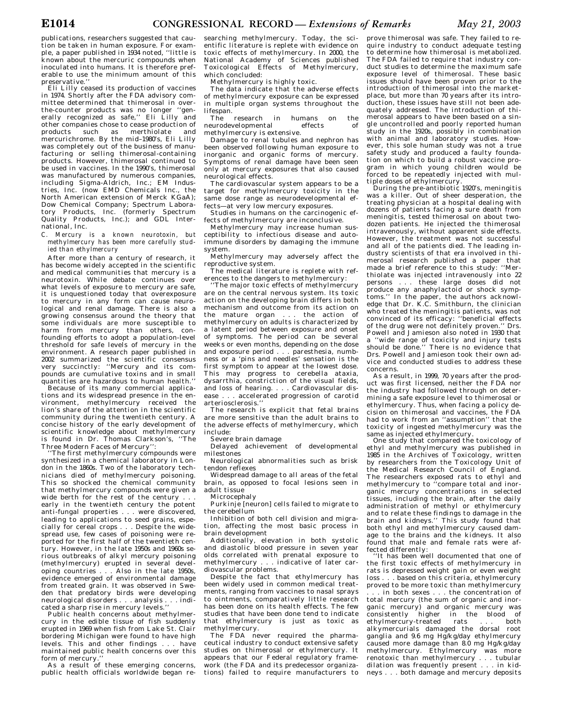publications, researchers suggested that caution be taken in human exposure. For example, a paper published in 1934 noted, ''little is known about the mercuric compounds when inoculated into humans. It is therefore preferable to use the minimum amount of this preservative.''

Eli Lilly ceased its production of vaccines in 1974. Shortly after the FDA advisory committee determined that thimerosal in overthe-counter products was no longer ''generally recognized as safe," Eli Lilly and other companies chose to cease production of<br>products such as merthiolate and products such as merthiolate and mercurichrome. By the mid–1980's, Eli Lilly was completely out of the business of manufacturing or selling thimerosal-containing products. However, thimerosal continued to be used in vaccines. In the 1990's, thimerosal was manufactured by numerous companies including Sigma-Aldrich, Inc.; EM Industries, Inc. (now EMD Chemicals Inc., the North American extension of Merck KGaA); Dow Chemical Company; Spectrum Laboratory Products, Inc. (formerly Spectrum Quality Products, Inc.); and GDL International, Inc.

*C. Mercury is a known neurotoxin, but methylmercury has been more carefully studied than ethylmercury* 

After more than a century of research, it has become widely accepted in the scientific and medical communities that mercury is a neurotoxin. While debate continues over what levels of exposure to mercury are safe, it is unquestioned today that overexposure to mercury in any form can cause neurological and renal damage. There is also a growing consensus around the theory that some individuals are more susceptible to harm from mercury than others, confounding efforts to adopt a population-level threshold for safe levels of mercury in the environment. A research paper published in 2002 summarized the scientific consensus very succinctly: ''Mercury and its compounds are cumulative toxins and in small quantities are hazardous to human health.''

Because of its many commercial applications and its widespread presence in the environment, methylmercury received the lion's share of the attention in the scientific community during the twentieth century. A concise history of the early development of scientific knowledge about methylmercury is found in Dr. Thomas Clarkson's, ''The Three Modern Faces of Mercury'':

''The first methylmercury compounds were synthesized in a chemical laboratory in London in the 1860s. Two of the laboratory technicians died of methylmercury poisoning. This so shocked the chemical community that methylmercury compounds were given a wide berth for the rest of the century . . . early in the twentieth century the potent anti-fungal properties . . . were discovered, leading to applications to seed grains, especially for cereal crops . . . Despite the widespread use, few cases of poisoning were reported for the first half of the twentieth century. However, in the late 1950s and 1960s serious outbreaks of alkyl mercury poisoning (methylmercury) erupted in several developing countries . . . Also in the late 1950s, evidence emerged of environmental damage from treated grain. It was observed in Sweden that predatory birds were developing neurological disorders . . . analysis . . . indi-

cated a sharp rise in mercury levels.'' Public health concerns about methylmercury in the edible tissue of fish suddenly erupted in 1969 when fish from Lake St. Clair bordering Michigan were found to have high levels. This and other findings . . . have maintained public health concerns over this form of mercury.

As a result of these emerging concerns, public health officials worldwide began researching methylmercury. Today, the scientific literature is replete with evidence on toxic effects of methylmercury. In 2000, the National Academy of Sciences published Toxicological Effects of Methylmercury, which concluded:

Methylmercury is highly toxic.

The data indicate that the adverse effects of methylmercury exposure can be expressed in multiple organ systems throughout the

lifespan.<br>The research The research in humans on the<br>eurodevelopmental effects of neurodevelopmental effects of methylmercury is extensive.

Damage to renal tubules and nephron has been observed following human exposure to inorganic and organic forms of mercury. Symptoms of renal damage have been seen only at mercury exposures that also caused neurological effects.

The cardiovascular system appears to be a target for methylmercury toxicity in the same dose range as neurodevelopmental effects—at very low mercury exposures.

Studies in humans on the carcinogenic effects of methylmercury are inconclusive.

Methylmercury may increase human susceptibility to infectious disease and autoimmune disorders by damaging the immune system.

Methylmercury may adversely affect the reproductive system.

The medical literature is replete with references to the dangers to methylmercury:

'The major toxic effects of methylmercury are on the central nervous system. Its toxic action on the developing brain differs in both mechanism and outcome from its action on the mature organ . . . the action of methylmercury on adults is characterized by a latent period between exposure and onset of symptoms. The period can be several weeks or even months, depending on the dose and exposure period . . . paresthesia, numbness or a 'pins and needles' sensation is the first symptom to appear at the lowest dose. This may progress to cerebella ataxia, dysarrthia, constriction of the visual fields, and loss of hearing. . . . Cardiovascular disease . . . accelerated progression of carotid arteriosclerosis.''

The research is explicit that fetal brains are more sensitive than the adult brains to the adverse effects of methylmercury, which include:

Severe brain damage

Delayed achievement of developmental  $\rm milestones$ 

Neurological abnormalities such as brisk tendon reflexes

Widespread damage to all areas of the fetal brain, as opposed to focal lesions seen in adult tissue

Microcephaly

Purkinje [neuron] cells failed to migrate to the cerebellum

Inhibition of both cell division and migration, affecting the most basic process in brain development

Additionally, elevation in both systolic and diastolic blood pressure in seven year olds correlated with prenatal exposure to methylmercury . . . indicative of later cardiovascular problems.

Despite the fact that ethylmercury has been widely used in common medical treatments, ranging from vaccines to nasal sprays to ointments, comparatively little research has been done on its health effects. The few studies that have been done tend to indicate<br>that ethylmercury is just as toxic as that ethylmercury is just as toxic methylmercury.

The FDA never required the pharmaceutical industry to conduct extensive safety studies on thimerosal or ethylmercury. It appears that our Federal regulatory framework (the FDA and its predecessor organizations) failed to require manufacturers to

prove thimerosal was safe. They failed to require industry to conduct adequate testing to determine how thimerosal is metabolized. The FDA failed to require that industry conduct studies to determine the maximum safe exposure level of thimerosal. These basic issues should have been proven prior to the introduction of thimerosal into the marketplace, but more than 70 years after its introduction, these issues have still not been adequately addressed. The introduction of thimerosal appears to have been based on a single uncontrolled and poorly reported human study in the 1920s, possibly in combination with animal and laboratory studies. However, this sole human study was not a true safety study and produced a faulty foundation on which to build a robust vaccine program in which young children would forced to be repeatedly injected with mul-

tiple doses of ethylmercury. During the pre-antibiotic 1920's, meningitis was a killer. Out of sheer desperation, the treating physician at a hospital dealing with dozens of patients facing a sure death from meningitis, tested thimerosal on about twodozen patients. He injected the thimerosal intravenously, without apparent side effects. However, the treatment was not successful and all of the patients died. The leading industry scientists of that era involved in thimerosal research published a paper that made a brief reference to this study: ''Merthiolate was injected intravenously into 22 persons . . . these large doses did not produce any anaphylactoid or shock symptoms.'' In the paper, the authors acknowl-edge that Dr. K.C. Smithburn, the clinician who treated the meningitis patients, was not convinced of its efficacy: ''beneficial effects of the drug were not definitely proven.'' Drs. Powell and Jamieson also noted in 1930 that a ''wide range of toxicity and injury tests should be done.'' There is no evidence that Drs. Powell and Jamieson took their own advice and conducted studies to address these concerns.

As a result, in 1999, 70 years after the product was first licensed, neither the FDA nor the industry had followed through on determining a safe exposure level to thimerosal or ethylmercury. Thus, when facing a policy decision on thimerosal and vaccines, the FDA had to work from an ''assumption'' that the toxicity of ingested methylmercury was the same as injected ethylmercury.

One study that compared the toxicology of ethyl and methylmercury was published in 1985 in the Archives of Toxicology, written by researchers from the Toxicology Unit of the Medical Research Council of England. The researchers exposed rats to ethyl and methylmercury to ''compare total and inorganic mercury concentrations in selected tissues, including the brain, after the daily administration of methyl or ethylmercury and to relate these findings to damage in the brain and kidneys.'' This study found that both ethyl and methylmercury caused damage to the brains and the kidneys. It also found that male and female rats were affected differently:

It has been well documented that one of the first toxic effects of methylmercury in rats is depressed weight gain or even weight loss . . . based on this criteria, ethylmercury proved to be more toxic than methylmercury .. in both sexes ... the concentration of total mercury (the sum of organic and inorganic mercury) and organic mercury was consistently higher in the blood of ethylmercury-treated rats . . . both alkymercurials damaged the dorsal root ganglia and 9.6 mg Hg/kg/day ethylmercury caused more damage than 8.0 mg Hg/kg/day methylmercury. Ethylmercury was more renotoxic than methylmercury . . . tubular dilation was frequently present . . . in kidneys . . . both damage and mercury deposits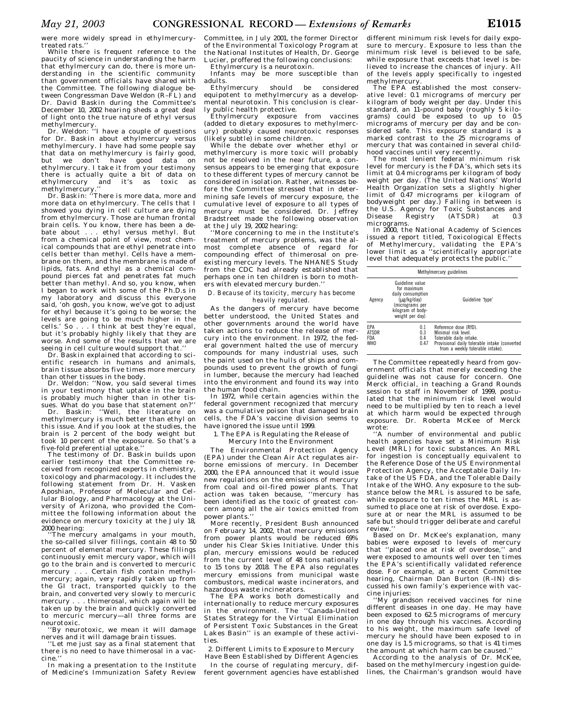were more widely spread in ethylmercurytreated rats.''

While there is frequent reference to the paucity of science in understanding the harm that ethylmercury can do, there is more understanding in the scientific community than government officials have shared with the Committee. The following dialogue between Congressman Dave Weldon (R-FL) and Dr. David Baskin during the Committee's December 10, 2002 hearing sheds a great deal of light onto the true nature of ethyl versus

methylmercury. Dr. Weldon: ''I have a couple of questions for Dr. Baskin about ethylmercury versus methylmercury. I have had some people say that data on methylmercury is fairly good,<br>but we don't have good data on  $h$ ave good data on ethylmercury. I take it from your testimony there is actually quite a bit of data on  $ethylmercury$  and it's as toxic

methylmercury.'' Dr. Baskin: ''There is more data, more and more data on ethylmercury. The cells that I showed you dying in cell culture are dying from ethylmercury. Those are human frontal brain cells. You know, there has been a debate about . . . ethyl versus methyl. But from a chemical point of view, most chemical compounds that are ethyl penetrate into cells better than methyl. Cells have a membrane on them, and the membrane is made of lipids, fats. And ethyl as a chemical compound pierces fat and penetrates fat much better than methyl. And so, you know, when I began to work with some of the Ph.D.s in my laboratory and discuss this everyone said, 'oh gosh, you know, we've got to adjust for ethyl because it's going to be worse; the levels are going to be much higher in the cells.' So . . . I think at best they're equal, but it's probably highly likely that they are worse. And some of the results that we are

seeing in cell culture would support that.'' Dr. Baskin explained that according to scientific research in humans and animals brain tissue absorbs five times more mercury than other tissues in the body.

Dr. Weldon: ''Now, you said several times in your testimony that uptake in the brain is probably much higher than in other tissues. What do you base that statement on?'' Dr. Baskin: "Well, the literature on methylmercury is much better than ethyl on this issue. And if you look at the studies, the brain is 2 percent of the body weight but took 10 percent of the exposure. So that's a

five-fold preferential uptake.'' The testimony of Dr. Baskin builds upon earlier testimony that the Committee received from recognized experts in chemistry, toxicology and pharmacology. It includes the following statement from Dr. H. Vasken Aposhian, Professor of Molecular and Cellular Biology, and Pharmacology at the University of Arizona, who provided the Committee the following information about the evidence on mercury toxicity at the July 18, 2000 hearing:

''The mercury amalgams in your mouth, the so-called silver fillings, contain 48 to 50 percent of elemental mercury. These fillings continuously emit mercury vapor, which will go to the brain and is converted to mercuric mercury . . . Certain fish contain methylmercury; again, very rapidly taken up from the GI tract, transported quickly to the brain, and converted very slowly to mercuric mercury . . . thimerosal, which again will be taken up by the brain and quickly converted to mercuric mercury—all three forms are neurotoxic.

''By neurotoxic, we mean it will damage nerves and it will damage brain tissues.

''Let me just say as a final statement that there is no need to have thimerosal in a vaccine.''

In making a presentation to the Institute of Medicine's Immunization Safety Review Committee, in July 2001, the former Director of the Environmental Toxicology Program at the National Institutes of Health, Dr. George Lucier, proffered the following conclusions:

Ethylmercury is a neurotoxin. Infants may be more susceptible than adults.

Ethylmercury should be considered equipotent to methylmercury as a developmental neurotoxin. This conclusion is clearly public health protective.

Ethylmercury exposure from vaccines (added to dietary exposures to methylmercury) probably caused neurotoxic responses (likely subtle) in some children.

While the debate over whether ethyl or methylmercury is more toxic will probably not be resolved in the near future, a consensus appears to be emerging that exposure to these different types of mercury cannot be considered in isolation. Rather, witnesses before the Committee stressed that in determining safe levels of mercury exposure, the cumulative level of exposure to all types of mercury must be considered. Dr. Jeffrey Bradstreet made the following observation at the July 19, 2002 hearing:

'More concerning to me in the Institute's treatment of mercury problems, was the almost complete absence of regard for compounding effect of thimerosal on preexisting mercury levels. The NHANES Study from the CDC had already established that perhaps one in ten children is born to mothers with elevated mercury burden.''

#### *D. Because of its toxicity, mercury has become heavily regulated.*

As the dangers of mercury have become better understood, the United States and other governments around the world have taken actions to reduce the release of mercury into the environment. In 1972, the federal government halted the use of mercury compounds for many industrial uses, such the paint used on the hulls of ships and compounds used to prevent the growth of fungi in lumber, because the mercury had leached into the environment and found its way into the human food chain.

In 1972, while certain agencies within the federal government recognized that mercury was a cumulative poison that damaged brain cells, the FDA's vaccine division seems to have ignored the issue until 1999.

1. The EPA is Regulating the Release of

# Mercury Into the Environment

The Environmental Protection Agency (EPA) under the Clean Air Act regulates airborne emissions of mercury. In December 2000, the EPA announced that it would issue new regulations on the emissions of mercury from coal and oil-fired power plants. That action was taken because, ''mercury has been identified as the toxic of greatest concern among all the air toxics emitted from power plants.''

More recently, President Bush announced on February 14, 2002, that mercury emissions from power plants would be reduced 69% under his Clear Skies Initiative. Under this plan, mercury emissions would be reduced from the current level of 48 tons nationally to 15 tons by 2018. The EPA also regulates mercury emissions from municipal waste combustors, medical waste incinerators, and hazardous waste incinerators.

The EPA works both domestically and internationally to reduce mercury exposures in the environment. The ''Canada-United States Strategy for the Virtual Elimination of Persistent Toxic Substances in the Great Lakes Basin'' is an example of these activities.

2. Different Limits to Exposure to Mercury

Have Been Established by Different Agencies In the course of regulating mercury, different government agencies have established different minimum risk levels for daily exposure to mercury. Exposure to less than the minimum risk level is believed to be safe, while exposure that exceeds that level is believed to increase the chances of injury. All of the levels apply specifically to ingested methylmercury.

The EPA established the most conservative level: 0.1 micrograms of mercury per kilogram of body weight per day. Under this standard, an 11–pound baby (roughly 5 kilograms) could be exposed to up to 0.5 micrograms of mercury per day and be considered safe. This exposure standard is a marked contrast to the 25 micrograms of mercury that was contained in several childhood vaccines until very recently.

The most lenient federal minimum risk level for mercury is the FDA's, which sets its limit at 0.4 micrograms per kilogram of body weight per day. (The United Nations' World Health Organization sets a slightly higher limit of 0.47 micrograms per kilogram of bodyweight per day.) Falling in between is the U.S. Agency for Toxic Substances and<br>Disease Registry (ATSDR) at 0.3 Registry (ATSDR) at micrograms.

In 2000, the National Academy of Sciences issued a report titled, Toxicological Effects of Methylmercury, validating the EPA's lower limit as a ''scientifically appropriate level that adequately protects the public.''

| Methylmercury guidelines                        |                                                                                                                               |                                                                                                                                                              |  |  |  |  |  |
|-------------------------------------------------|-------------------------------------------------------------------------------------------------------------------------------|--------------------------------------------------------------------------------------------------------------------------------------------------------------|--|--|--|--|--|
| Agency                                          | Guideline value<br>for maximum<br>daily consumption<br>(µg/kg/day)<br>(micrograms per<br>kilogram of body-<br>weight per dav) | Guideline 'type'                                                                                                                                             |  |  |  |  |  |
| <b>FPA</b><br>ATSDR<br><b>FDA</b><br><b>WHO</b> | 0.1<br>0.3<br>0.4<br>0.47                                                                                                     | Reference dose (RfD).<br>Minimal risk level.<br>Tolerable daily intake.<br>Provisional daily tolerable intake (converted<br>from a weekly tolerable intake). |  |  |  |  |  |

The Committee repeatedly heard from government officials that merely exceeding the guideline was not cause for concern. One Merck official, in teaching a Grand Rounds session to staff in November of 1999, postulated that the minimum risk level would need to be multiplied by ten to reach a level at which harm would be expected through exposure. Dr. Roberta McKee of Merck wrote:

''A number of environmental and public health agencies have set a Minimum Risk Level (MRL) for toxic substances. An MRL for ingestion is conceptually equivalent to the Reference Dose of the US Environmental Protection Agency, the Acceptable Daily Intake of the US FDA, and the Tolerable Daily Intake of the WHO. Any exposure to the substance below the MRL is assured to be safe, while exposure to ten times the MRL is assumed to place one at risk of overdose. Exposure at or near the MRL is assumed to be safe but should trigger deliberate and careful review.

Based on Dr. McKee's explanation, many babies were exposed to levels of mercury that ''placed one at risk of overdose,'' and were exposed to amounts well over ten times the EPA's scientifically validated reference dose. For example, at a recent Committee hearing, Chairman Dan Burton (R–IN) discussed his own family's experience with vaccine injuries:

''My grandson received vaccines for nine different diseases in one day. He may have been exposed to 62.5 micrograms of mercury in one day through his vaccines. According to his weight, the maximum safe level of mercury he should have been exposed to in one day is 1.5 micrograms, so that is 41 times the amount at which harm can be caused.''

According to the analysis of Dr. McKee, based on the methylmercury ingestion guidelines, the Chairman's grandson would have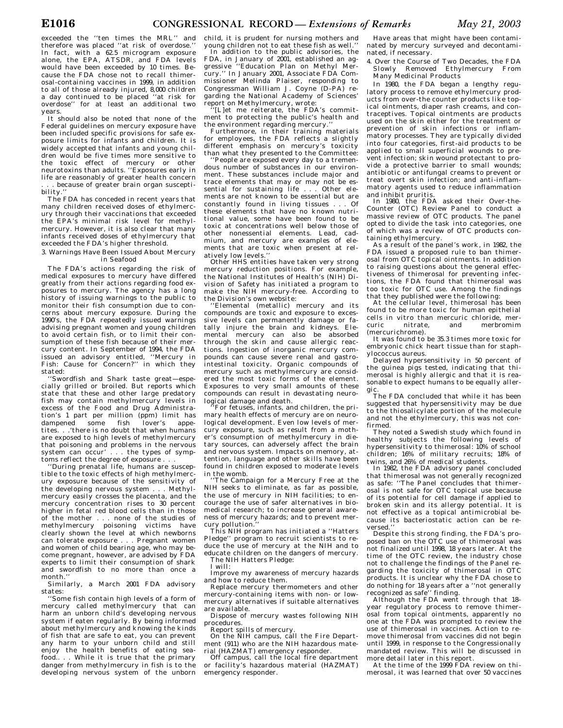exceeded the ''ten times the MRL'' and therefore was placed ''at risk of overdose.'' In fact, with a 62.5 microgram exposure alone, the EPA, ATSDR, and FDA levels would have been exceeded by 10 times. Because the FDA chose not to recall thimerosal-containing vaccines in 1999, in addition to all of those already injured, 8,000 children a day continued to be placed ''at risk for overdose" for at least an additional two years.

It should also be noted that none of the Federal guidelines on mercury exposure have been included specific provisions for safe exposure limits for infants and children. It is widely accepted that infants and young children would be five times more sensitive to the toxic effect of mercury or other neurotoxins than adults. ''Exposures early in life are reasonably of greater health concern . because of greater brain organ susceptibility.''

The FDA has conceded in recent years that many children received doses of ethylmercury through their vaccinations that exceeded the EPA's minimal risk level for methylmercury. However, it is also clear that many infants received doses of ethylmercury that exceeded the FDA's higher threshold.

3. Warnings Have Been Issued About Mercury in Seafood

The FDA's actions regarding the risk of medical exposures to mercury have differed greatly from their actions regarding food exposures to mercury. The agency has a long history of issuing warnings to the public to monitor their fish consumption due to concerns about mercury exposure. During the 1990's, the FDA repeatedly issued warnings advising pregnant women and young children to avoid certain fish, or to limit their consumption of these fish because of their mercury content. In September of 1994, the FDA issued an advisory entitled, ''Mercury in Fish: Cause for Concern?" in which they stated:

''Swordfish and Shark taste great—especially grilled or broiled. But reports which state that these and other large predatory fish may contain methylmercury levels in excess of the Food and Drug Administration's 1 part per million (ppm) limit has dampened some fish lover's appetites. . . 'there is no doubt that when humans are exposed to high levels of methylmercury that poisoning and problems in the nervous system can occur' . . . the types of symptoms reflect the degree of exposure . . .

''During prenatal life, humans are susceptible to the toxic effects of high methylmercury exposure because of the sensitivity of the developing nervous system . . . Methylmercury easily crosses the placenta, and the mercury concentration rises to 30 percent higher in fetal red blood cells than in those of the mother . . . none of the studies of methylmercury poisoning victims have clearly shown the level at which newborns can tolerate exposure . . . Pregnant women and women of child bearing age, who may become pregnant, however, are advised by FDA experts to limit their consumption of shark and swordfish to no more than once a month.''

Similarly, a March 2001 FDA advisory states:

''Some fish contain high levels of a form of mercury called methylmercury that can harm an unborn child's developing nervous system if eaten regularly. By being informed about methylmercury and knowing the kinds of fish that are safe to eat, you can prevent any harm to your unborn child and still enjoy the health benefits of eating seafood.. . . While it is true that the primary danger from methylmercury in fish is to the developing nervous system of the unborn child, it is prudent for nursing mothers and young children not to eat these fish as well.''

In addition to the public advisories, the FDA, in January of 2001, established an aggressive "Education Plan on Methyl Mercury.'' In January 2001, Associate FDA Commissioner Melinda Plaiser, responding to Congressman William J. Coyne (D–PA) regarding the National Academy of Sciences' report on Methylmercury, wrote:

[L]et me reiterate, the FDA's commitment to protecting the public's health and the environment regarding mercury.''

Furthermore, in their training materials for employees, the FDA reflects a slightly different emphasis on mercury's toxicity than what they presented to the Committee:

'People are exposed every day to a tremendous number of substances in our environment. These substances include major and trace elements that may or may not be essential for sustaining life . . . Other elements are not known to be essential but are constantly found in living tissues . . . Of these elements that have no known nutritional value, some have been found to be toxic at concentrations well below those of other nonessential elements. Lead, cadmium, and mercury are examples of elements that are toxic when present at relatively low levels.''

Other HHS entities have taken very strong mercury reduction positions. For example, the National Institutes of Health's (NIH) Division of Safety has initiated a program to make the NIH mercury-free. According to the Division's own website:

Elemental (metallic) mercury and its compounds are toxic and exposure to excessive levels can permanently damage or fatally injure the brain and kidneys. Elemental mercury can also be absorbed through the skin and cause allergic reactions. Ingestion of inorganic mercury compounds can cause severe renal and gastrointestinal toxicity. Organic compounds of mercury such as methylmercury are considered the most toxic forms of the element. Exposures to very small amounts of these compounds can result in devastating neurological damage and death.

For fetuses, infants, and children, the primary health effects of mercury are on neurological development. Even low levels of mercury exposure, such as result from a mother's consumption of methylmercury in dietary sources, can adversely affect the brain and nervous system. Impacts on memory, attention, language and other skills have been found in children exposed to moderate levels in the womb.

The Campaign for a Mercury Free at the NIH seeks to eliminate, as far as possible, the use of mercury in NIH facilities; to encourage the use of safer alternatives in biomedical research; to increase general awareness of mercury hazards; and to prevent mercury pollution.''

This NIH program has initiated a ''Hatters Pledge'' program to recruit scientists to reduce the use of mercury at the NIH and to educate children on the dangers of mercury. The NIH Hatters Pledge:

I will: Improve my awareness of mercury hazards

and how to reduce them. Replace mercury thermometers and other

mercury-containing items with non- or lowmercury alternatives if suitable alternatives are available.

Dispose of mercury wastes following NIH procedures.

Report spills of mercury. On the NIH campus, call the Fire Department (911) who are the NIH hazardous material (HAZMAT) emergency responder.

Off campus, call the local fire department or facility's hazardous material (HAZMAT) emergency responder.

Have areas that might have been contaminated by mercury surveyed and decontaminated, if necessary.

4. Over the Course of Two Decades, the FDA Slowly Removed Ethylmercury From Many Medicinal Products

In 1980, the FDA began a lengthy regulatory process to remove ethylmercury products from over-the counter products like topical ointments, diaper rash creams, and contraceptives. Topical ointments are products used on the skin either for the treatment or prevention of skin infections or inflammatory processes. They are typically divided into four categories, first-aid products to be applied to small superficial wounds to prevent infection; skin wound protectant to provide a protective barrier to small wounds; antibiotic or antifungal creams to prevent or treat overt skin infection; and anti-inflammatory agents used to reduce inflammation and inhibit pruritis.

In 1980, the FDA asked their Over-the-Counter (OTC) Review Panel to conduct a massive review of OTC products. The panel opted to divide the task into categories, one of which was a review of OTC products containing ethylmercury.

As a result of the panel's work, in 1982, the FDA issued a proposed rule to ban thimerosal from OTC topical ointments. In addition to raising questions about the general effectiveness of thimerosal for preventing infections, the FDA found that thimerosal was too toxic for OTC use. Among the findings that they published were the following:

At the cellular level, thimerosal has been found to be more toxic for human epithelial cells in vitro than mercuric chloride, mercuric nitrate, and merbromim (mercurichrome).

It was found to be 35.3 times more toxic for embryonic chick heart tissue than for staphylococcus aureus.

Delayed hypersensitivity in 50 percent of the guinea pigs tested, indicating that thimerosal is highly allergic and that it is reasonable to expect humans to be equally allergic.

The FDA concluded that while it has been suggested that hypersensitivity may be due to the thiosalicylate portion of the molecule and not the ethylmercury, this was not confirmed.

They noted a Swedish study which found in healthy subjects the following levels of hypersensitivity to thimerosal:  $10\%$  of school children; 16% of military recruits; 18% of twins, and 26% of medical students.

In 1982, the FDA advisory panel concluded that thimerosal was not generally recognized as safe: ''The Panel concludes that thimerosal is not safe for OTC topical use because of its potential for cell damage if applied to broken skin and its allergy potential. It is not effective as a topical antimicrobial because its bacteriostatic action can be reversed.

Despite this strong finding, the FDA's proposed ban on the OTC use of thimerosal was not finalized until 1998, 18 years later. At the time of the OTC review, the industry chose not to challenge the findings of the Panel regarding the toxicity of thimerosal in OTC products. It is unclear why the FDA chose to do nothing for 18 years after a ''not generally

recognized as safe'' finding. Although the FDA went through that 18– year regulatory process to remove thimerosal from topical ointments, apparently no one at the FDA was prompted to review the use of thimerosal in vaccines. Action to remove thimerosal from vaccines did not begin until 1999, in response to the Congressionally mandated review. This will be discussed in more detail later in this report.

At the time of the 1999 FDA review on thimerosal, it was learned that over 50 vaccines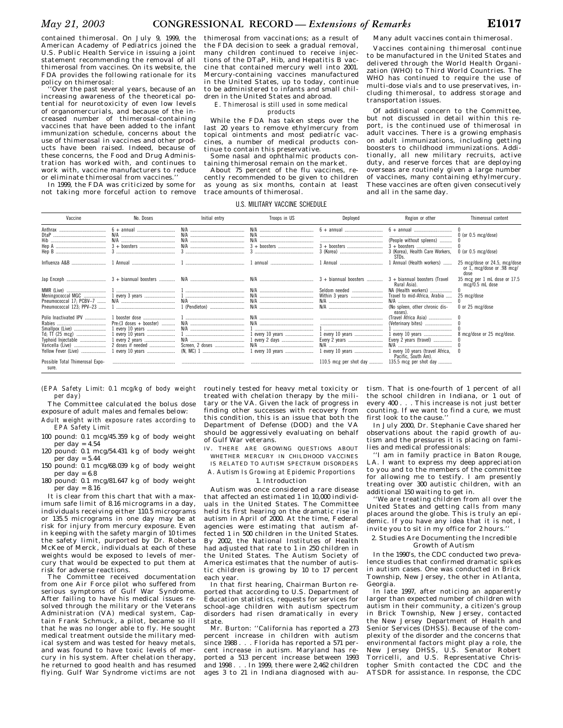contained thimerosal. On July 9, 1999, the American Academy of Pediatrics joined the U.S. Public Health Service in issuing a joint statement recommending the removal of all thimerosal from vaccines. On its website, the FDA provides the following rationale for its policy on thimerosal:

''Over the past several years, because of an increasing awareness of the theoretical potential for neurotoxicity of even low levels of organomercurials, and because of the increased number of thimerosal-containing vaccines that have been added to the infant immunization schedule, concerns about the use of thimerosal in vaccines and other products have been raised. Indeed, because of these concerns, the Food and Drug Administration has worked with, and continues to work with, vaccine manufacturers to reduce or eliminate thimerosal from vaccines.''

In 1999, the FDA was criticized by some for not taking more forceful action to remove

thimerosal from vaccinations; as a result of the FDA decision to seek a gradual removal, many children continued to receive injections of the DTaP, Hib, and Hepatitis B vaccine that contained mercury well into 2001. Mercury-containing vaccines manufactured in the United States, up to today, continue to be administered to infants and small children in the United States and abroad.

*E. Thimerosal is still used in some medical products* 

While the FDA has taken steps over the last 20 years to remove ethylmercury from topical ointments and most pediatric vaccines, a number of medical products continue to contain this preservative.

Some nasal and ophthalmic products containing thimerosal remain on the market.

About 75 percent of the flu vaccines, recently recommended to be given to children as young as six months, contain at least trace amounts of thimerosal.

### U.S. MILITARY VACCINE SCHEDULE

transportation issues. Of additional concern to the Committee, but not discussed in detail within this report, is the continued use of thimerosal in adult vaccines. There is a growing emphasis on adult immunizations, including getting boosters to childhood immunizations. Addi-

tionally, all new military recruits, active duty, and reserve forces that are deploying overseas are routinely given a large number of vaccines, many containing ethylmercury. These vaccines are often given consecutively and all in the same day.

Many adult vaccines contain thimerosal. Vaccines containing thimerosal continue to be manufactured in the United States and delivered through the World Health Organization (WHO) to Third World Countries. The WHO has continued to require the use of multi-dose vials and to use preservatives, including thimerosal, to address storage and

| Vaccine                                                                                | No. Doses                                                          | Initial entry   | Troops in US | Deployed                                       | Region or other                                                                                 | Thimerosal content                                          |
|----------------------------------------------------------------------------------------|--------------------------------------------------------------------|-----------------|--------------|------------------------------------------------|-------------------------------------------------------------------------------------------------|-------------------------------------------------------------|
|                                                                                        |                                                                    |                 |              |                                                | (People without spleens)                                                                        | $0$ (or $0.5$ mcg/dose)                                     |
|                                                                                        |                                                                    |                 |              |                                                | 3 (Korea), Health Care Workers,<br>STD <sub>s</sub>                                             | $0$ (or $0.5$ mcg/dose)                                     |
| Influenza A&B                                                                          |                                                                    |                 |              |                                                | 1 Annual (Health workers)                                                                       | 25 mcg/dose or 24.5, mcg/dose<br>or 1, mcg/dose or .98 mcg/ |
|                                                                                        |                                                                    |                 |              |                                                | Rural Asia).                                                                                    | 35 mcg per 1 mL dose or 17.5<br>mcg/0.5 mL dose             |
|                                                                                        |                                                                    |                 |              | Seldom needed                                  | NA (Health workers)<br>Travel to mid-Africa, Arabia<br>(No spleen, other chronic dis-<br>eases) | 25 mcg/dose<br>0 or 25 mcg/dose                             |
| Polio Inactivated IPV<br>Typhoid Injectable<br>Varicella (Live)<br>Yellow Fever (Live) | 1 booster dose<br>$Pre:(3$ doses $+$ booster)<br>2 doses if needed | Screen, 2 doses |              | 1 every 10 years                               | (Travel Africa Asia)<br>(Veterinary bites)<br>1 every 10 years<br>Pacific. South Am).           | 8 mcg/dose or 25 mcg/dose.                                  |
| Possible Total Thimerosal Expo-<br>sure.                                               |                                                                    |                 |              | 110.5 mcg per shot day  135.5 mcg per shot day |                                                                                                 |                                                             |

*(EPA Safety Limit: 0.1 mcg/kg of body weight per day)* 

The Committee calculated the bolus dose exposure of adult males and females below: *Adult weight with exposure rates according to* 

- *EPA Safety Limit*  100 pound: 0.1 mcg/45.359 kg of body weight
- per day = 4.54 120 pound: 0.1 mcg/54.431 kg of body weight
- per day  $= 5.44$ 150 pound: 0.1 mcg/68.039 kg of body weight
- per day  $= 6.8$
- 180 pound: 0.1 mcg/81.647 kg of body weight per day  $= 8.16$

It is clear from this chart that with a maximum safe limit of 8.16 micrograms in a day, individuals receiving either 110.5 micrograms or 135.5 micrograms in one day may be at risk for injury from mercury exposure. Even in keeping with the safety margin of 10 times the safety limit, purported by Dr. Roberta McKee of Merck, individuals at each of these weights would be exposed to levels of mercury that would be expected to put them at risk for adverse reactions.

The Committee received documentation from one Air Force pilot who suffered from serious symptoms of Gulf War Syndrome. After failing to have his medical issues resolved through the military or the Veterans Administration (VA) medical system, Captain Frank Schmuck, a pilot, became so ill that he was no longer able to fly. He sought medical treatment outside the military medical system and was tested for heavy metals, and was found to have toxic levels of mercury in his system. After chelation therapy, he returned to good health and has resumed flying. Gulf War Syndrome victims are not routinely tested for heavy metal toxicity or treated with chelation therapy by the military or the VA. Given the lack of progress in finding other successes with recovery from this condition, this is an issue that both the Department of Defense (DOD) and the VA should be aggressively evaluating on behalf of Gulf War veterans.

IV. THERE ARE GROWING QUESTIONS ABOUT WHETHER MERCURY IN CHILDHOOD VACCINES

IS RELATED TO AUTISM SPECTRUM DISORDERS *A. Autism Is Growing at Epidemic Proportions* 

## 1. Introduction

Autism was once considered a rare disease that affected an estimated 1 in 10,000 individuals in the United States. The Committee held its first hearing on the dramatic rise in autism in April of 2000. At the time, Federal agencies were estimating that autism affected 1 in 500 children in the United States. By 2002, the National Institutes of Health had adjusted that rate to 1 in 250 children in the United States. The Autism Society of America estimates that the number of autistic children is growing by 10 to 17 percent each year.

In that first hearing, Chairman Burton reported that according to U.S. Department of Education statistics, requests for services for school-age children with autism spectrum disorders had risen dramatically in every state.

Mr. Burton: ''California has reported a 273 percent increase in children with autism since 1988 . . . Florida has reported a 571 percent increase in autism. Maryland has reported a 513 percent increase between 1993 and 1998 . . . In 1999, there were 2,462 children ages 3 to 21 in Indiana diagnosed with autism. That is one-fourth of 1 percent of all the school children in Indiana, or 1 out of every 400 . . . This increase is not just better counting. If we want to find a cure, we must first look to the cause.'

In July 2000, Dr. Stephanie Cave shared her observations about the rapid growth of autism and the pressures it is placing on families and medical professionals:

''I am in family practice in Baton Rouge, LA. I want to express my deep appreciation to you and to the members of the committee for allowing me to testify. I am presently treating over 300 autistic children, with an additional 150 waiting to get in.

''We are treating children from all over the United States and getting calls from many places around the globe. This is truly an epidemic. If you have any idea that it is not, I invite you to sit in my office for 2 hours.

#### 2. Studies Are Documenting the Incredible Growth of Autism

In the 1990's, the CDC conducted two prevalence studies that confirmed dramatic spikes in autism cases. One was conducted in Brick Township, New Jersey, the other in Atlanta, Georgia.

In late 1997, after noticing an apparently larger than expected number of children with autism in their community, a citizen's group in Brick Township, New Jersey, contacted the New Jersey Department of Health and Senior Services (DHSS). Because of the complexity of the disorder and the concerns that environmental factors might play a role, the New Jersey DHSS, U.S. Senator Robert Torricelli, and U.S. Representative Christopher Smith contacted the CDC and the ATSDR for assistance. In response, the CDC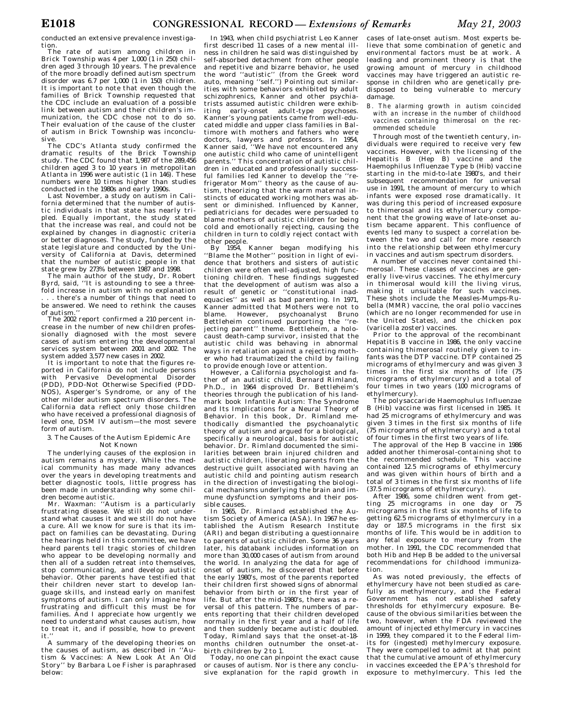conducted an extensive prevalence investigation.

The rate of autism among children in Brick Township was 4 per 1,000 (1 in 250) children aged 3 through 10 years. The prevalence of the more broadly defined autism spectrum disorder was 6.7 per 1,000 (1 in 150) children. It is important to note that even though the families of Brick Township requested that the CDC include an evaluation of a possible link between autism and their children's immunization, the CDC chose not to do so. Their evaluation of the cause of the cluster of autism in Brick Township was inconclusive.

The CDC's Atlanta study confirmed the dramatic results of the Brick Township study. The CDC found that 1,987 of the 289,456 children aged 3 to 10 years in metropolitan Atlanta in 1996 were autistic (1 in 146). These numbers were 10 times higher than studies conducted in the 1980s and early 1990s.

Last November, a study on autism in California determined that the number of autistic individuals in that state has nearly tripled. Equally important, the study stated that the increase was real, and could not be explained by changes in diagnostic criteria or better diagnoses. The study, funded by the state legislature and conducted by the University of California at Davis, determined that the number of autistic people in that state grew by 273% between 1987 and 1998.

The main author of the study, Dr. Robert Byrd, said, ''It is astounding to see a threefold increase in autism with no explanation . . . there's a number of things that need to be answered. We need to rethink the causes of autism.''

The 2002 report confirmed a 210 percent increase in the number of new children professionally diagnosed with the most severe cases of autism entering the developmental services system between 2001 and 2002. The system added 3,577 new cases in 2002.

It is important to note that the figures reported in California do not include persons with Pervasive Developmental Disorder (PDD), PDD-Not Otherwise Specified (PDD-NOS), Asperger's Syndrome, or any of the other milder autism spectrum disorders. The California data reflect only those children who have received a professional diagnosis of level one, DSM IV autism—the most severe form of autism.

#### 3. The Causes of the Autism Epidemic Are Not Known

The underlying causes of the explosion in autism remains a mystery. While the medical community has made many advances over the years in developing treatments and better diagnostic tools, little progress has been made in understanding why some children become autistic.

Mr. Waxman: ''Autism is a particularly frustrating disease. We still do not understand what causes it and we still do not have a cure. All we know for sure is that its impact on families can be devastating. During the hearings held in this committee, we have heard parents tell tragic stories of children who appear to be developing normally and then all of a sudden retreat into themselves, stop communicating, and develop autistic behavior. Other parents have testified that their children never start to develop language skills, and instead early on manifest symptoms of autism. I can only imagine how frustrating and difficult this must be for families. And I appreciate how urgently we need to understand what causes autism, how to treat it, and if possible, how to prevent it.

A summary of the developing theories on the causes of autism, as described in ''Autism & Vaccines: A New Look At An Old Story'' by Barbara Loe Fisher is paraphrased below:

In 1943, when child psychiatrist Leo Kanner first described 11 cases of a new mental illness in children he said was distinguished by self-absorbed detachment from other people and repetitive and bizarre behavior, he used the word ''autistic'' (from the Greek word auto, meaning ''self.'') Pointing out similarities with some behaviors exhibited by adult schizophrenics, Kanner and other psychiatrists assumed autistic children were exhibiting early-onset adult-type psychoses. Kanner's young patients came from well-educated middle and upper class families in Baltimore with mothers and fathers who were doctors, lawyers and professors. In 1954, Kanner said, ''We have not encountered any one autistic child who came of unintelligent parents.'' This concentration of autistic children in educated and professionally successful families led Kanner to develop the ''re-frigerator Mom'' theory as the cause of autism, theorizing that the warm maternal instincts of educated working mothers was absent or diminished. Influenced by Kanner pediatricians for decades were persuaded to blame mothers of autistic children for being cold and emotionally rejecting, causing the children in turn to coldly reject contact with

other people. By 1954, Kanner began modifying his ''Blame the Mother'' position in light of evidence that brothers and sisters of autistic children were often well-adjusted, high functioning children. These findings suggested that the development of autism was also a result of genetic or ''constitutional inadequacies'' as well as bad parenting. In 1971, Kanner admitted that Mothers were not to blame. However, psychoanalyst Bruno Bettleheim continued purporting the ''rejecting parent'' theme. Bettleheim, a holocaust death-camp survivor, insisted that the autistic child was behaving in abnormal ways in retaliation against a rejecting mother who had traumatized the child by failing to provide enough love or attention.

However, a California psychologist and father of an autistic child, Bernard Rimland, Ph.D., in 1964 disproved Dr. Bettleheim's theories through the publication of his landmark book Infantile Autism: The Syndrome and Its Implications for a Neural Theory of Behavior. In this book, Dr. Rimland methodically dismantled the psychoanalytic theory of autism and argued for a biological, specifically a neurological, basis for autistic behavior. Dr. Rimland documented the similarities between brain injured children and autistic children, liberating parents from the destructive guilt associated with having an autistic child and pointing autism research in the direction of investigating the biological mechanisms underlying the brain and immune dysfunction symptoms and their possible causes.

In 1965, Dr. Rimland established the Autism Society of America (ASA). In 1967 he established the Autism Research Institute (ARI) and began distributing a questionnaire to parents of autistic children. Some 36 years later, his databank includes information on more than 30,000 cases of autism from around the world. In analyzing the data for age of onset of autism, he discovered that before the early 1980's, most of the parents reported their children first showed signs of abnormal behavior from birth or in the first year of life. But after the mid-1980's, there was a reversal of this pattern. The numbers of parents reporting that their children developed normally in the first year and a half of life and then suddenly became autistic doubled. Today, Rimland says that the onset-at-18 months children outnumber the onset-atbirth children by 2 to 1.

Today, no one can pinpoint the exact cause or causes of autism. Nor is there any conclusive explanation for the rapid growth in

cases of late-onset autism. Most experts believe that some combination of genetic and environmental factors must be at work. A leading and prominent theory is that the growing amount of mercury in childhood vaccines may have triggered an autistic response in children who are genetically predisposed to being vulnerable to mercury damage.

*B. The alarming growth in autism coincided with an increase in the number of childhood vaccines containing thimerosal on the recommended schedule* 

Through most of the twentieth century, individuals were required to receive very few vaccines. However, with the licensing of the Hepatitis B (Hep B) vaccine and the Haemophilus Influenzae Type b (Hib) vaccine starting in the mid-to-late 1980's, and their subsequent recommendation for universal use in 1991, the amount of mercury to which infants were exposed rose dramatically. It was during this period of increased exposure to thimerosal and its ethylmercury component that the growing wave of late-onset autism became apparent. This confluence of events led many to suspect a correlation between the two and call for more research into the relationship between ethylmercury in vaccines and autism spectrum disorders.

A number of vaccines never contained thimerosal. These classes of vaccines are generally live-virus vaccines. The ethylmercury in thimerosal would kill the living virus, making it unsuitable for such vaccines. These shots include the Measles-Mumps-Rubella (MMR) vaccine, the oral polio vaccines (which are no longer recommended for use in the United States), and the chicken pox (varicella zoster) vaccines.

Prior to the approval of the recombinant Hepatitis B vaccine in 1986, the only vaccine containing thimerosal routinely given to infants was the DTP vaccine. DTP contained 25 micrograms of ethylmercury and was given 3 times in the first six months of life (75 micrograms of ethylmercury) and a total of four times in two years (100 micrograms of ethylmercury).

The polysaccaride Haemophulus Influenzae B (Hib) vaccine was first licensed in 1985. It had 25 micrograms of ethylmercury and was given 3 times in the first six months of life (75 micrograms of ethylmercury) and a total of four times in the first two years of life.

The approval of the Hep B vaccine in 1986 added another thimerosal-containing shot to the recommended schedule. This vaccine contained 12.5 micrograms of ethylmercury and was given within hours of birth and a total of 3 times in the first six months of life (37.5 micrograms of ethylmercury).

After 1986, some children went from getting 25 micrograms in one day or 75 micrograms in the first six months of life to getting 62.5 micrograms of ethylmercury in a day or 187.5 micrograms in the first six months of life. This would be in addition to any fetal exposure to mercury from the mother. In 1991, the CDC recommended that both Hib and Hep B be added to the universal recommendations for childhood immunization.

As was noted previously, the effects of ethylmercury have not been studied as carefully as methylmercury, and the Federal Government has not established safety thresholds for ethylmercury exposure. Because of the obvious similarities between the two, however, when the FDA reviewed the amount of injected ethylmercury in vaccines in 1999, they compared it to the Federal limits for (ingested) methylmercury exposure. They were compelled to admit at that point that the cumulative amount of ethylmercury in vaccines exceeded the EPA's threshold for exposure to methylmercury. This led the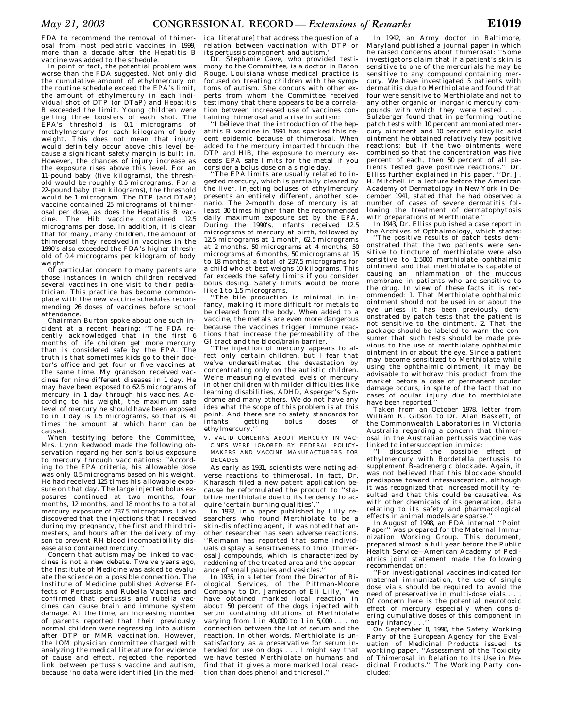FDA to recommend the removal of thimerosal from most pediatric vaccines in 1999, more than a decade after the Hepatitis B vaccine was added to the schedule.

In point of fact, the potential problem was worse than the FDA suggested. Not only did the cumulative amount of ethylmercury on the routine schedule exceed the EPA's limit, the amount of ethylmercury in each individual shot of DTP (or DTaP) and Hepatitis B exceeded the limit. Young children were getting three boosters of each shot. The EPA's threshold is 0.1 micrograms of methylmercury for each kilogram of body weight. This does not mean that injury would definitely occur above this level because a significant safety margin is built in. However, the chances of injury increase as the exposure rises above this level. For an 11–pound baby (five kilograms), the threshold would be roughly 0.5 micrograms. For a 22–pound baby (ten kilograms), the threshold would be 1 microgram. The DTP (and DTaP) vaccine contained 25 micrograms of thimerosal per dose, as does the Hepatitis B vaccine. The Hib vaccine contained 12.5 micrograms per dose. In addition, it is clear that for many, many children, the amount of thimerosal they received in vaccines in the 1990's also exceeded the FDA's higher threshold of 0.4 micrograms per kilogram of body

weight. Of particular concern to many parents are those instances in which children received several vaccines in one visit to their pediatrician. This practice has become commonplace with the new vaccine schedules recommending 26 doses of vaccines before school attendance.

Chairman Burton spoke about one such incident at a recent hearing: ''The FDA recently acknowledged that in the first 6 months of life children get more mercury than is considered safe by the EPA. The truth is that sometimes kids go to their doctor's office and get four or five vaccines at the same time. My grandson received vaccines for nine different diseases in 1 day. He may have been exposed to 62.5 micrograms of mercury in 1 day through his vaccines. According to his weight, the maximum safe level of mercury he should have been exposed to in 1 day is 1.5 micrograms, so that is 41 times the amount at which harm can be caused.

When testifying before the Committee, Mrs. Lynn Redwood made the following observation regarding her son's bolus exposure to mercury through vaccinations: ''According to the EPA criteria, his allowable dose was only 0.5 micrograms based on his weight. He had received 125 times his allowable exposure on that day. The large injected bolus exposures continued at two months, four months, 12 months, and 18 months to a total mercury exposure of 237.5 micrograms. I also discovered that the injections that I received during my pregnancy, the first and third trimesters, and hours after the delivery of my son to prevent RH blood incompatibility dis-

ease also contained mercury.'' Concern that autism may be linked to vaccines is not a new debate. Twelve years ago, the Institute of Medicine was asked to evaluate the science on a possible connection. The Institute of Medicine published Adverse Effects of Pertussis and Rubella Vaccines and confirmed that pertussis and rubella vaccines can cause brain and immune system damage. At the time, an increasing number of parents reported that their previously normal children were regressing into autism after DTP or MMR vaccination. However, the IOM physician committee charged with analyzing the medical literature for evidence of cause and effect, rejected the reported link between pertussis vaccine and autism, because 'no data were identified [in the med-

ical literature] that address the question of a relation between vaccination with DTP or its pertussis component and autism.'

Dr. Stephanie Cave, who provided testimony to the Committee, is a doctor in Baton Rouge, Louisiana whose medical practice is focused on treating children with the symptoms of autism. She concurs with other experts from whom the Committee received testimony that there appears to be a correlation between increased use of vaccines con-

taining thimerosal and a rise in autism: ''I believe that the introduction of the hepatitis B vaccine in 1991 has sparked this recent epidemic because of thimerosal. When added to the mercury imparted through the DTP and HIB, the exposure to mercury exceeds EPA safe limits for the metal if you consider a bolus dose on a single day.

''The EPA limits are usually related to ingested mercury, which is partially cleared by the liver. Injecting boluses of ethylmercury presents an entirely different, another scenario. The 2–month dose of mercury is at least 30 times higher than the recommended daily maximum exposure set by the EPA. During the 1990's, infants received 12.5 micrograms of mercury at birth, followed by 12.5 micrograms at 1 month, 62.5 micrograms at 2 months, 50 micrograms at 4 months, 50 micrograms at 6 months, 50 micrograms at 15 to 18 months; a total of 237.5 micrograms for a child who at best weighs 10 kilograms. This far exceeds the safety limits if you consider bolus dosing. Safety limits would be more like 1 to 1.5 micrograms.

''The bile production is minimal in infancy, making it more difficult for metals to be cleared from the body. When added to a vaccine, the metals are even more dangerous because the vaccines trigger immune reactions that increase the permeability of the GI tract and the blood/brain barrier.

The injection of mercury appears to affect only certain children, but I fear that we've underestimated the devastation by concentrating only on the autistic children. We're measuring elevated levels of mercury in other children with milder difficulties like learning disabilities, ADHD, Asperger's Syndrome and many others. We do not have any idea what the scope of this problem is at this point. And there are no safety standards for infants getting bolus doses of ethylmercury.''

V. VALID CONCERNS ABOUT MERCURY IN VAC-CINES WERE IGNORED BY FEDERAL POLICY-MAKERS AND VACCINE MANUFACTURERS FOR **DECADES** 

As early as 1931, scientists were noting adverse reactions to thimerosal. In fact, Dr. Kharasch filed a new patent application because he reformulated the product to ''stabilize merthiolate due to its tendency to acquire 'certain burning qualities'

In 1932, in a paper published by Lilly researchers who found Merthiolate to be a skin-disinfecting agent, it was noted that another researcher has seen adverse reactions. ''Reimann has reported that some individuals display a sensitiveness to thio [thimerosal] compounds, which is characterized by reddening of the treated area and the appearance of small papules and vesicles.''

In 1935, in a letter from the Director of Biological Services, of the Pittman-Moore Company to Dr. Jamieson of Eli Lilly, ''we have obtained marked local reaction in about 50 percent of the dogs injected with serum containing dilutions of Merthiolate varying from 1 in 40,000 to 1 in 5,000 . . . no connection between the lot of serum and the reaction. In other words, Merthiolate is unsatisfactory as a preservative for serum intended for use on dogs . . . I might say that we have tested Merthiolate on humans and find that it gives a more marked local reaction than does phenol and tricresol.''

In 1942, an Army doctor in Baltimore, Maryland published a journal paper in which he raised concerns about thimerosal: ''Some investigators claim that if a patient's skin is sensitive to one of the mercurials he may be sensitive to any compound containing mercury. We have investigated 5 patients with dermatitis due to Merthiolate and found that four were sensitive to Merthiolate and not to any other organic or inorganic mercury compounds with which they were tested .

Sulzberger found that in performing routine patch tests with 10 percent ammoniated mercury ointment and 10 percent salicylic acid ointment he obtained relatively few positive reactions; but if the two ointments were combined so that the concentration was five percent of each, then 50 percent of all patients tested gave positive reactions.'' Dr. Elliss further explained in his paper, ''Dr. J. H. Mitchell in a lecture before the American Academy of Dermatology in New York in December 1941, stated that he had observed a number of cases of severe dermatitis following the treatment of dermatophytosis with preparations of Merthiolate.''

In 1943, Dr. Elliss published a case report in the Archives of Opthalmology, which states:

''The positive results of patch tests demonstrated that the two patients were sensitive to tincture of merthiolate were also sensitive to 1:5000 merthiolate ophthalmic ointment and that merthiolate is capable of causing an inflammation of the mucous membrane in patients who are sensitive to the drug. In view of these facts it is recommended: 1. That Merthiolate ophthalmic ointment should not be used in or about the eye unless it has been previously demonstrated by patch tests that the patient is not sensitive to the ointment. 2. That the package should be labeled to warn the consumer that such tests should be made previous to the use of merthiolate ophthalmic ointment in or about the eye. Since a patient may become sensitized to Merthiolate while using the ophthalmic ointment, it may be advisable to withdraw this product from the market before a case of permanent ocular damage occurs, in spite of the fact that no cases of ocular injury due to merthiolate have been reported.

Taken from an October 1978, letter from William R. Gibson to Dr. Alan Baskett, of the Commonwealth Laboratories in Victoria Australia regarding a concern that thimerosal in the Australian pertussis vaccine was linked to intersucception in mice:

''I discussed the possible effect of ethylmercury with Bordetella pertussis to supplement B-adrenergic blockade. Again, it was not believed that this blockade should predispose toward intessusception, although it was recognized that increased motility resulted and that this could be causative. As with other chemicals of its generation, data relating to its safety and pharmacological effects in animal models are sparse.''

In August of 1998, an FDA internal ''Point Paper'' was prepared for the Maternal Immunization Working Group. This document, prepared almost a full year before the Public Health Service—American Academy of Pediatrics joint statement made the following recommendation:

'For investigational vaccines indicated for maternal immunization, the use of single dose vials should be required to avoid the need of preservative in multi-dose vials . . . Of concern here is the potential neurotoxic effect of mercury especially when considering cumulative doses of this component in

early infancy . . .'' On September 8, 1998, the Safety Working Party of the European Agency for the Evaluation of Medicinal Products issued its working paper, ''Assessment of the Toxicity of Thimerosal in Relation to Its Use in Medicinal Products.'' The Working Party concluded: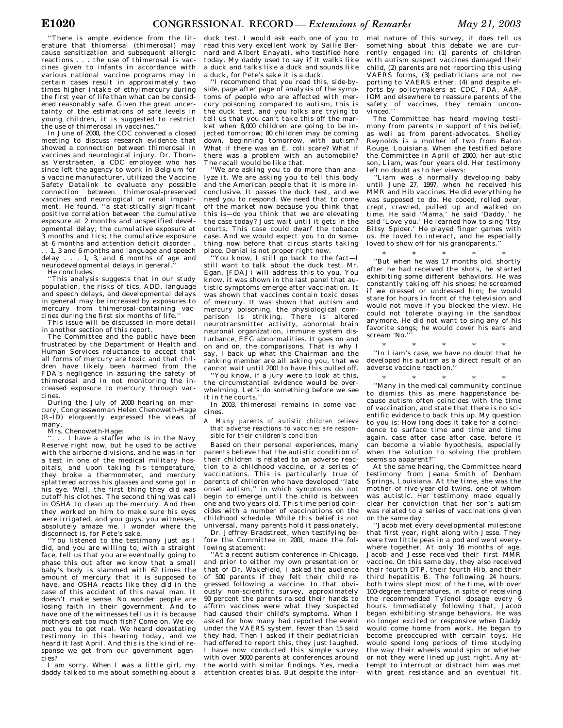''There is ample evidence from the literature that thiomersal (thimerosal) may cause sensitization and subsequent allergic reactions . . . the use of thimerosal is vaccines given to infants in accordance with various national vaccine programs may in certain cases result in approximately two times higher intake of ethylmercury during the first year of life than what can be considered reasonably safe. Given the great uncertainty of the estimations of safe levels in young children, it is suggested to restrict the use of thimerosal in vaccines.''

In June of 2000, the CDC convened a closed meeting to discuss research evidence that showed a connection between thimerosal in vaccines and neurological injury. Dr. Thomas Verstraeten, a CDC employee who has since left the agency to work in Belgium for a vaccine manufacturer, utilized the Vaccine Safety Datalink to evaluate any possible connection between thimerosal-preserved vaccines and neurological or renal impairment. He found, ''a statistically significant positive correlation between the cumulative exposure at 2 months and unspecified developmental delay; the cumulative exposure at 3 months and tics; the cumulative exposure at 6 months and attention deficit disorder . . . 1, 3 and 6 months and language and speech delay . . . 1, 3, and 6 months of age and neurodevelopmental delays in general.'' He concludes:

''This analysis suggests that in our study population, the risks of tics, ADD, language and speech delays, and developmental delays in general may be increased by exposures to mercury from thimerosal-containing vaccines during the first six months of life.

This issue will be discussed in more detail in another section of this report.

The Committee and the public have been frustrated by the Department of Health and Human Services reluctance to accept that all forms of mercury are toxic and that children have likely been harmed from the FDA's negligence in assuring the safety of thimerosal and in not monitoring the increased exposure to mercury through vaccines.

During the July of 2000 hearing on mercury, Congresswoman Helen Chenoweth-Hage (R–ID) eloquently expressed the views of many.

Mrs. Chenoweth-Hage:

... I have a staffer who is in the Navy Reserve right now, but he used to be active with the airborne divisions, and he was in for a test in one of the medical military hospitals, and upon taking his temperature, they broke a thermometer, and mercury splattered across his glasses and some got in his eye. Well, the first thing they did was cutoff his clothes. The second thing was call in OSHA to clean up the mercury. And then they worked on him to make sure his eyes were irrigated, and you guys, you witnesses, absolutely amaze me. I wonder where the disconnect is, for Pete's sake.

'You listened to the testimony just as I did, and you are willing to, with a straight face, tell us that you are eventually going to phase this out after we know that a small baby's body is slammed with 62 times the amount of mercury that it is supposed to have, and OSHA reacts like they did in the case of this accident of this naval man. It doesn't make sense. No wonder people are losing faith in their government. And to have one of the witnesses tell us it is because mothers eat too much fish? Come on. We expect you to get real. We heard devastating testimony in this hearing today, and we heard it last April. And this is the kind of response we get from our government agencies?

I am sorry. When I was a little girl, my daddy talked to me about something about a

duck test. I would ask each one of you to read this very excellent work by Sallie Bernard and Albert Enayati, who testified here today. My daddy used to say if it walks like a duck and talks like a duck and sounds like a duck, for Pete's sake it is a duck.

''I recommend that you read this, side-byside, page after page of analysis of the symptoms of people who are affected with mercury poisoning compared to autism, this is the duck test, and you folks are trying to tell us that you can't take this off the market when 8,000 children are going to be injected tomorrow; 80 children may be coming down, beginning tomorrow, with autism? What if there was an E. coli scare? What if there was a problem with an automobile? The recall would be like that.

'We are asking you to do more than analyze it. We are asking you to tell this body and the American people that it is more inconclusive. It passes the duck test, and we need you to respond. We need that to come off the market now because you think that this is—do you think that we are elevating the case today? Just wait until it gets in the courts. This case could dwarf the tobacco case. And we would expect you to do something now before that circus starts taking place. Denial is not proper right now.

''You know, I still go back to the fact—I still want to talk about the duck test. Mr. Egan, [FDA] I will address this to you. You know, it was shown in the last panel that autistic symptoms emerge after vaccination. It was shown that vaccines contain toxic doses of mercury. It was shown that autism and mercury poisoning, the physiological comparison is striking. There is altered neurotransmitter activity, abnormal brain neuronal organization, immune system disturbance, EEG abnormalities. It goes on and on and on, the comparisons. That is why I say, I back up what the Chairman and the ranking member are all asking you, that we cannot wait until 2001 to have this pulled off.

'You know, if a jury were to look at this, the circumstantial evidence would be overwhelming. Let's do something before we see it in the courts.''

In 2003, thimerosal remains in some vaccines.

*A. Many parents of autistic children believe that adverse reactions to vaccines are responsible for their children's condition* 

Based on their personal experiences, many parents believe that the autistic condition of their children is related to an adverse reaction to a childhood vaccine, or a series of vaccinations. This is particularly true of parents of children who have developed ''late onset autism,'' in which symptoms do not begin to emerge until the child is between one and two years old. This time period coincides with a number of vaccinations on the childhood schedule. While this belief is not universal, many parents hold it passionately.

Dr. Jeffrey Bradstreet, when testifying before the Committee in 2001, made the following statement:

'At a recent autism conference in Chicago, and prior to either my own presentation or that of Dr. Wakefield, I asked the audience of 500 parents if they felt their child regressed following a vaccine. In that obviously non-scientific survey, approximately 90 percent the parents raised their hands to affirm vaccines were what they suspected had caused their child's symptoms. When I asked for how many had reported the event under the VAERS system, fewer than 15 said they had. Then I asked if their pediatrician had offered to report this, they just laughed. I have now conducted this simple survey with over 5000 parents at conferences around the world with similar findings. Yes, media attention creates bias. But despite the infor-

mal nature of this survey, it does tell us something about this debate we are currently engaged in: (1) parents of children with autism suspect vaccines damaged their child, (2) parents are not reporting this using VAERS forms, (3) pediatricians are not reporting to VAERS either, (4) and despite efforts by policymakers at CDC, FDA, AAP, IOM and elsewhere to reassure parents of the safety of vaccines, they remain unconvinced.''

The Committee has heard moving testimony from parents in support of this belief, as well as from parent-advocates. Shelley Reynolds is a mother of two from Baton Rouge, Louisiana. When she testified before the Committee in April of 2000, her autistic son, Liam, was four years old. Her testimony left no doubt as to her views:

''Liam was a normally developing baby until June 27, 1997, when he received his MMR and Hib vaccines. He did everything he was supposed to do. He cooed, rolled over, crept, crawled, pulled up and walked on time. He said 'Mama,' he said 'Daddy,' he said 'Love you.' He learned how to sing 'Itsy Bitsy Spider.' He played finger games with us. He loved to interact, and he especially loved to show off for his grandparents.''

\* \* \* \* \* ''But when he was 17 months old, shortly after he had received the shots, he started exhibiting some different behaviors. He was constantly taking off his shoes; he screamed if we dressed or undressed him; he would stare for hours in front of the television and would not move if you blocked the view. He could not tolerate playing in the sandbox anymore. He did not want to sing any of his favorite songs; he would cover his ears and scream 'No.

\* \* \* \* \* 'In Liam's case, we have no doubt that he developed his autism as a direct result of an adverse vaccine reaction.''

\* \* \* \* \* ''Many in the medical community continue to dismiss this as mere happenstance because autism often coincides with the time of vaccination, and state that there is no scientific evidence to back this up. My question to you is: How long does it take for a coincidence to surface time and time and time again, case after case after case, before it can become a viable hypothesis, especially when the solution to solving the problem seems so apparent?''

At the same hearing, the Committee heard testimony from Jeana Smith of Denham Springs, Louisiana. At the time, she was the mother of five-year-old twins, one of whom was autistic. Her testimony made equally clear her conviction that her son's autism was related to a series of vaccinations given on the same day:

'Jacob met every developmental milestone that first year, right along with Jesse. They were two little peas in a pod and went everywhere together. At only 16 months of age, Jacob and Jesse received their first MMR vaccine. On this same day, they also received their fourth DTP, their fourth Hib, and their third hepatitis B. The following 24 hours, both twins slept most of the time, with over 100-degree temperatures, in spite of receiving the recommended Tylenol dosage every 6 hours. Immediately following that, Jacob began exhibiting strange behaviors. He was no longer excited or responsive when Daddy would come home from work. He began to become preoccupied with certain toys. He would spend long periods of time studying the way their wheels would spin or whether or not they were lined up just right. Any attempt to interrupt or distract him was met with great resistance and an eventual fit.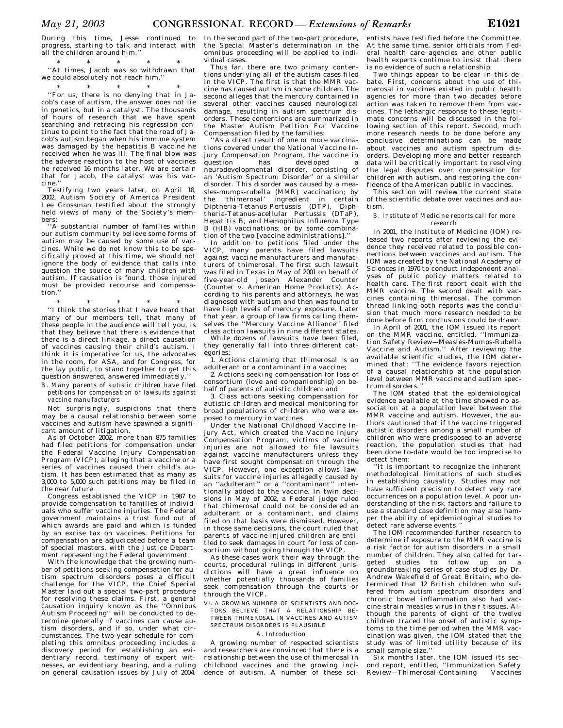During this time, Jesse continued to In the second part of the two-part procedure, progress, starting to talk and interact with all the children around him.''

\* \* \* \* \* ''At times, Jacob was so withdrawn that we could absolutely not reach him.''

\* \* \* \* \* ''For us, there is no denying that in Jacob's case of autism, the answer does not lie in genetics, but in a catalyst. The thousands of hours of research that we have spent searching and retracing his regression continue to point to the fact that the road of Jacob's autism began when his immune system was damaged by the hepatitis B vaccine he received when he was ill. The final blow was the adverse reaction to the host of vaccines he received 16 months later. We are certain that for Jacob, the catalyst was his vaccine.''

Testifying two years later, on April 18, 2002, Autism Society of America President Lee Grossman testified about the strongly held views of many of the Society's members:

''A substantial number of families within our autism community believe some forms of autism may be caused by some use of vaccines. While we do not know this to be specifically proved at this time, we should not ignore the body of evidence that calls into question the source of many children with autism. If causation is found, those injured must be provided recourse and compensation.''

\* \* \* \* \* ''I think the stories that I have heard that many of our members tell, that many of these people in the audience will tell you, is that they believe that there is evidence that there is a direct linkage, a direct causation of vaccines causing their child's autism. I think it is imperative for us, the advocates in the room, for ASA, and for Congress, for the lay public, to stand together to get this question answered, answered immediately.''

*B. Many parents of autistic children have filed petitions for compensation or lawsuits against vaccine manufacturers* 

Not surprisingly, suspicions that there may be a causal relationship between some vaccines and autism have spawned a significant amount of litigation.

As of October 2002, more than 875 families had filed petitions for compensation under the Federal Vaccine Injury Compensation Program (VICP), alleging that a vaccine or a series of vaccines caused their child's autism. It has been estimated that as many as 3,000 to 5,000 such petitions may be filed in the near future.

Congress established the VICP in 1987 to provide compensation to families of individuals who suffer vaccine injuries. The Federal government maintains a trust fund out of which awards are paid and which is funded by an excise tax on vaccines. Petitions for compensation are adjudicated before a team of special masters, with the Justice Department representing the Federal government.

With the knowledge that the growing number of petitions seeking compensation for autism spectrum disorders poses a difficult challenge for the VICP, the Chief Special Master laid out a special two-part procedure for resolving these claims. First, a general causation inquiry known as the ''Omnibus Autism Proceeding'' will be conducted to determine generally if vaccines can cause autism disorders, and if so, under what circumstances. The two-year schedule for completing this omnibus proceeding includes a discovery period for establishing an evidentiary record, testimony of expert witnesses, an evidentiary hearing, and a ruling on general causation issues by July of 2004.

the Special Master's determination in the omnibus proceeding will be applied to individual cases.

Thus far, there are two primary contentions underlying all of the autism cases filed in the VICP. The first is that the MMR vaccine has caused autism in some children. The second alleges that the mercury contained in several other vaccines caused neurological damage, resulting in autism spectrum disorders. These contentions are summarized in the Master Autism Petition For Vaccine Compensation filed by the families:

''As a direct result of one or more vaccinations covered under the National Vaccine Injury Compensation Program, the vaccine in question has developed a neurodevelopmental disorder, consisting of an 'Autism Spectrum Disorder' or a similar disorder. This disorder was caused by a measles-mumps-rubella (MMR) vaccination; by 'thimerosal' Diptheria-Tetanus-Pertussis (DTP), Diphtheria-Tetanus-acellular Pertussis (DTaP), Hepatitis B, and Hemophilus Influenza Type B (HIB) vaccinations; or by some combination of the two [vaccine administrations].''

In addition to petitions filed under the VICP, many parents have filed lawsuits against vaccine manufacturers and manufacturers of thimerosal. The first such lawsuit was filed in Texas in May of 2001 on behalf of five-year-old Joseph Alexander Counter (Counter v. American Home Products). According to his parents and attorneys, he was diagnosed with autism and then was found to have high levels of mercury exposure. Later that year, a group of law firms calling themselves the "Mercury Vaccine Alliance" filed class action lawsuits in nine different states.

While dozens of lawsuits have been filed they generally fall into three different categories:

1. Actions claiming that thimerosal is an adulterant or a contaminant in a vaccine;

2. Actions seeking compensation for loss of consortium (love and companionship) on behalf of parents of autistic children; and

3. Class actions seeking compensation for autistic children and medical monitoring for broad populations of children who were exposed to mercury in vaccines.

Under the National Childhood Vaccine Injury Act, which created the Vaccine Injury Compensation Program, victims of vaccine injuries are not allowed to file lawsuits against vaccine manufacturers unless they have first sought compensation through the VICP. However, one exception allows lawsuits for vaccine injuries allegedly caused by an ''adulterant'' or a ''contaminant'' intentionally added to the vaccine. In twin decisions in May of 2002, a Federal judge ruled that thimerosal could not be considered an adulterant or a contaminant, and claims filed on that basis were dismissed. However, in those same decisions, the court ruled that parents of vaccine-injured children are entitled to seek damages in court for loss of consortium without going through the VICP.

As these cases work their way through the courts, procedural rulings in different jurisdictions will have a great influence on whether potentially thousands of families seek compensation through the courts or through the VICP.

VI. A GROWING NUMBER OF SCIENTISTS AND DOC-

TORS BELIEVE THAT A RELATIONSHIP BE-TWEEN THIMEROSAL IN VACCINES AND AUTISM SPECTRUM DISORDERS IS PLAUSIBLE

#### *A. Introduction*

A growing number of respected scientists and researchers are convinced that there is a relationship between the use of thimerosal in childhood vaccines and the growing incidence of autism. A number of these scientists have testified before the Committee. At the same time, senior officials from Federal health care agencies and other public health experts continue to insist that there is no evidence of such a relationship.

Two things appear to be clear in this debate. First, concerns about the use of thimerosal in vaccines existed in public health agencies for more than two decades before action was taken to remove them from vaccines. The lethargic response to these legitimate concerns will be discussed in the following section of this report. Second, much more research needs to be done before any conclusive determinations can be made about vaccines and autism spectrum disorders. Developing more and better research data will be critically important to resolving the legal disputes over compensation for children with autism, and restoring the confidence of the American public in vaccines.

This section will review the current state of the scientific debate over vaccines and autism.

#### *B. Institute of Medicine reports call for more research*

In 2001, the Institute of Medicine (IOM) released two reports after reviewing the evidence they received related to possible connections between vaccines and autism. The IOM was created by the National Academy of Sciences in 1970 to conduct independent analyses of public policy matters related to health care. The first report dealt with the MMR vaccine. The second dealt with vaccines containing thimerosal. The common thread linking both reports was the conclusion that much more research needed to be done before firm conclusions could be drawn.

In April of 2001, the IOM issued its report on the MMR vaccine, entitled, ''Immunization Safety Review—Measles-Mumps-Rubella Vaccine and Autism.'' After reviewing the available scientific studies, the IOM determined that: ''The evidence favors rejection of a causal relationship at the population level between MMR vaccine and autism spectrum disorders.''

The IOM stated that the epidemiological evidence available at the time showed no association at a population level between the MMR vaccine and autism. However, the authors cautioned that if the vaccine triggered autistic disorders among a small number of children who were predisposed to an adverse reaction, the population studies that had been done to-date would be too imprecise to detect them:

''It is important to recognize the inherent methodological limitations of such studies in establishing causality. Studies may not have sufficient precision to detect very rare occurrences on a population level. A poor understanding of the risk factors and failure to use a standard case definition may also hamper the ability of epidemiological studies to detect rare adverse events.''

The IOM recommended further research to determine if exposure to the MMR vaccine is a risk factor for autism disorders in a small number of children. They also called for targeted studies to follow up on a groundbreaking series of case studies by Dr. Andrew Wakefield of Great Britain, who determined that 12 British children who suffered from autism spectrum disorders and chronic bowel inflammation also had vaccine-strain measles virus in their tissues. Although the parents of eight of the twelve children traced the onset of autistic symptoms to the time period when the MMR vaccination was given, the IOM stated that the study was of limited utility because of its small sample size.''

Six months later, the IOM issued its second report, entitled, ''Immunization Safety Review—Thimerosal-Containing Vaccines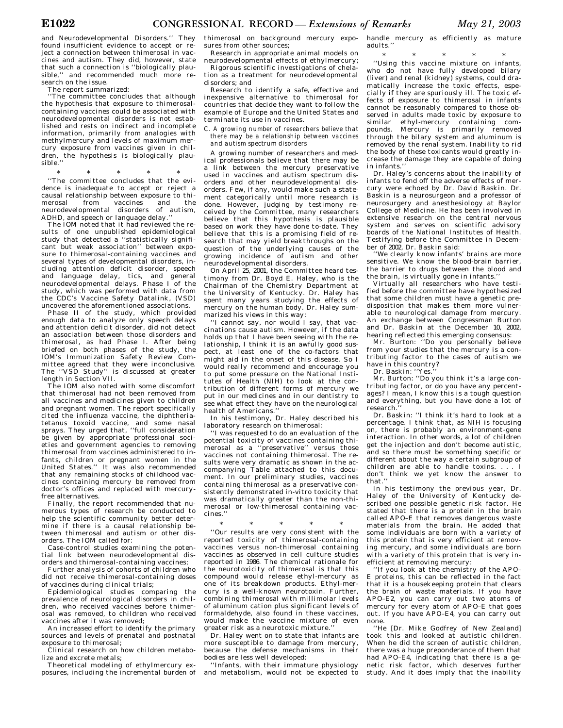and Neurodevelopmental Disorders.'' They found insufficient evidence to accept or reject a connection between thimerosal in vaccines and autism. They did, however, state that such a connection is ''biologically plausible,'' and recommended much more research on the issue.

The report summarized:

''The committee concludes that although the hypothesis that exposure to thimerosalcontaining vaccines could be associated with neurodevelopmental disorders is not established and rests on indirect and incomplete information, primarily from analogies with methylmercury and levels of maximum mercury exposure from vaccines given in children, the hypothesis is biologically plausible.''

\* \* \* \* \* ''The committee concludes that the evidence is inadequate to accept or reject a causal relationship between exposure to thimerosal from vaccines and the neurodevelopmental disorders of autism, ADHD, and speech or language delay.''

The IOM noted that it had reviewed the results of one unpublished epidemiological study that detected a ''statistically significant but weak association'' between exposure to thimerosal-containing vaccines and several types of developmental disorders, including attention deficit disorder, speech and language delay, tics, and general neurodevelopmental delays. Phase I of the study, which was performed with data from the CDC's Vaccine Safety Datalink, (VSD) uncovered the aforementioned associations.

Phase II of the study, which provided enough data to analyze only speech delays and attention deficit disorder, did not detect an association between those disorders and thimerosal, as had Phase I. After being briefed on both phases of the study, the IOM's Immunization Safety Review Committee agreed that they were inconclusive. The ''VSD Study'' is discussed at greater length in Section VII.

The IOM also noted with some discomfort that thimerosal had not been removed from all vaccines and medicines given to children and pregnant women. The report specifically cited the influenza vaccine, the diphtheriatetanus toxoid vaccine, and some nasal sprays. They urged that, ''full consideration be given by appropriate professional societies and government agencies to removing thimerosal from vaccines administered to infants, children or pregnant women in the United States.'' It was also recommended that any remaining stocks of childhood vaccines containing mercury be removed from doctor's offices and replaced with mercuryfree alternatives.

Finally, the report recommended that numerous types of research be conducted to help the scientific community better determine if there is a causal relationship between thimerosal and autism or other disorders. The IOM called for:

Case-control studies examining the potential link between neurodevelopmental disorders and thimerosal-containing vaccines;

Further analysis of cohorts of children who did not receive thimerosal-containing doses of vaccines during clinical trials;

Epidemiological studies comparing the prevalence of neurological disorders in children, who received vaccines before thimerosal was removed, to children who received vaccines after it was removed;

An increased effort to identify the primary sources and levels of prenatal and postnatal exposure to thimerosal;

Clinical research on how children metabolize and excrete metals;

Theoretical modeling of ethylmercury exposures, including the incremental burden of

thimerosal on background mercury exposures from other sources;

Research in appropriate animal models on neurodevelopmental effects of ethylmercury;

Rigorous scientific investigations of chelation as a treatment for neurodevelopmental disorders; and

Research to identify a safe, effective and inexpensive alternative to thimerosal for countries that decide they want to follow the example of Europe and the United States and terminate its use in vaccines.

*C. A growing number of researchers believe that there may be a relationship between vaccines and autism spectrum disorders* 

A growing number of researchers and medical professionals believe that there may be a link between the mercury preservative used in vaccines and autism spectrum disorders and other neurodevelopmental disorders. Few, if any, would make such a statement categorically until more research is done. However, judging by testimony received by the Committee, many researchers believe that this hypothesis is plausible based on work they have done to-date. They believe that this is a promising field of research that may yield breakthroughs on the question of the underlying causes of the growing incidence of autism and other neurodevelopmental disorders.

On April 25, 2001, the Committee heard testimony from Dr. Boyd E. Haley, who is the Chairman of the Chemistry Department at the University of Kentucky. Dr. Haley has spent many years studying the effects of mercury on the human body. Dr. Haley summarized his views in this way:

''I cannot say, nor would I say, that vaccinations cause autism. However, if the data holds up that I have been seeing with the relationship, I think it is an awfully good suspect, at least one of the co-factors that might aid in the onset of this disease. So I would really recommend and encourage you to put some pressure on the National Institutes of Health (NIH) to look at the contribution of different forms of mercury we put in our medicines and in our dentistry to see what effect they have on the neurological health of Americans.''

In his testimony, Dr. Haley described his laboratory research on thimerosal:

'I was requested to do an evaluation of the potential toxicity of vaccines containing thimerosal as a ''preservative'' versus those vaccines not containing thimerosal. The results were very dramatic as shown in the accompanying Table attached to this document. In our preliminary studies, vaccines containing thimerosal as a preservative consistently demonstrated in-vitro toxicity that was dramatically greater than the non-thimerosal or low-thimerosal containing vaccines.''

\* \* \* \* \*

''Our results are very consistent with the reported toxicity of thimerosal-containing vaccines versus non-thimerosal containing vaccines as observed in cell culture studies reported in 1986. The chemical rationale for the neurotoxicity of thimerosal is that this compound would release ethyl-mercury as one of its breakdown products. Ethyl-mercury is a well-known neurotoxin. Further, combining thimerosal with millimolar levels of aluminum cation plus significant levels of formaldehyde, also found in these vaccines, would make the vaccine mixture of even greater risk as a neurotoxic mixture.

Dr. Haley went on to state that infants are more susceptible to damage from mercury, because the defense mechanisms in their bodies are less well developed:

''Infants, with their immature physiology and metabolism, would not be expected to handle mercury as efficiently as mature adults.

\* \* \* \* \* ''Using this vaccine mixture on infants, who do not have fully developed bilary (liver) and renal (kidney) systems, could dramatically increase the toxic effects, especially if they are spuriously ill. The toxic effects of exposure to thimerosal in infants cannot be reasonably compared to those observed in adults made toxic by exposure to<br>similar ethvl-mercury containing comethyl-mercury containing compounds. Mercury is primarily removed through the bilary system and aluminum is removed by the renal system. Inability to rid the body of these toxicants would greatly increase the damage they are capable of doing in infants.''

Dr. Haley's concerns about the inability of infants to fend off the adverse effects of mercury were echoed by Dr. David Baskin. Dr. Baskin is a neurosurgeon and a professor of neurosurgery and anesthesiology at Baylor College of Medicine. He has been involved in extensive research on the central nervous system and serves on scientific advisory boards of the National Institutes of Health. Testifying before the Committee in December of 2002, Dr. Baskin said:

''We clearly know infants' brains are more sensitive. We know the blood-brain barrier, the barrier to drugs between the blood and the brain, is virtually gone in infants.''

Virtually all researchers who have testified before the committee have hypothesized that some children must have a genetic predisposition that makes them more vulnerable to neurological damage from mercury. An exchange between Congressman Burton and Dr. Baskin at the December 10, 2002, hearing reflected this emerging consensus:

Mr. Burton: ''Do you personally believe from your studies that the mercury is a contributing factor to the cases of autism we have in this country?

Dr. Baskin: ''Yes.''

Mr. Burton: ''Do you think it's a large contributing factor, or do you have any percentages? I mean, I know this is a tough question and everything, but you have done a lot of research.

Dr. Baskin: ''I think it's hard to look at a percentage. I think that, as NIH is focusing on, there is probably an environment-gene interaction. In other words, a lot of children get the injection and don't become autistic, and so there must be something specific or different about the way a certain subgroup of children are able to handle toxins. . . . I don't think we yet know the answer to that.''

In his testimony the previous year, Dr. Haley of the University of Kentucky described one possible genetic risk factor. He stated that there is a protein in the brain called APO–E that removes dangerous waste materials from the brain. He added that some individuals are born with a variety of this protein that is very efficient at removing mercury, and some individuals are born with a variety of this protein that is very inefficient at removing mercury:

''If you look at the chemistry of the APO– E proteins, this can be reflected in the fact that it is a housekeeping protein that clears the brain of waste materials. If you have APO–E2, you can carry out two atoms of mercury for every atom of APO–E that goes out. If you have APO–E4, you can carry out none.

''He [Dr. Mike Godfrey of New Zealand] took this and looked at autistic children. When he did the screen of autistic children, there was a huge preponderance of them that had APO–E4, indicating that there is a genetic risk factor, which deserves further study. And it does imply that the inability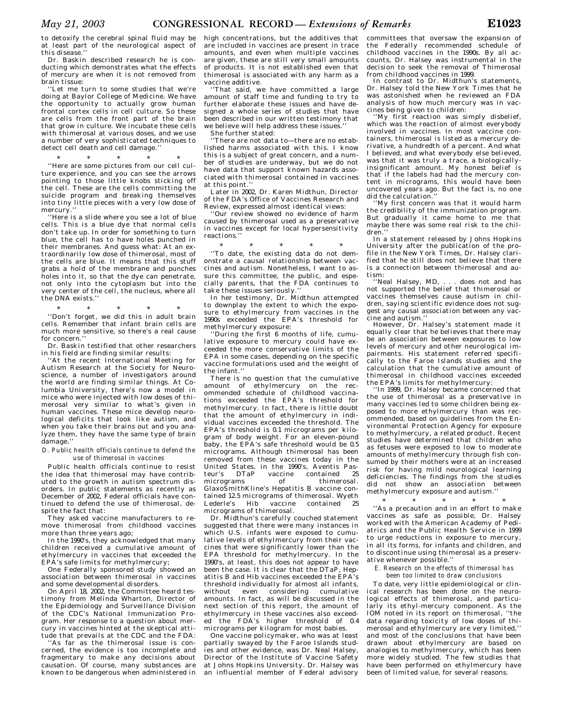to detoxify the cerebral spinal fluid may be at least part of the neurological aspect of this disease.''

Dr. Baskin described research he is conducting which demonstrates what the effects of mercury are when it is not removed from brain tissue:

''Let me turn to some studies that we're doing at Baylor College of Medicine. We have the opportunity to actually grow human frontal cortex cells in cell culture. So these are cells from the front part of the brain that grow in culture. We incubate these cells with thimerosal at various doses, and we use a number of very sophisticated techniques to detect cell death and cell damage.''

\* \* \* \* \* ''Here are some pictures from our cell cul-

ture experience, and you can see the arrows pointing to those little knobs sticking off the cell. These are the cells committing the suicide program and breaking themselves into tiny little pieces with a very low dose of mercury.

''Here is a slide where you see a lot of blue cells. This is a blue dye that normal cells don't take up. In order for something to turn blue, the cell has to have holes punched in their membranes. And guess what: At an extraordinarily low dose of thimerosal, most of the cells are blue. It means that this stuff grabs a hold of the membrane and punches holes into it, so that the dye can penetrate, not only into the cytoplasm but into the very center of the cell, the nucleus, where all the DNA exists.''

\* \* \* \* \* 'Don't forget, we did this in adult brain cells. Remember that infant brain cells are much more sensitive, so there's a real cause for concern.''

Dr. Baskin testified that other researchers in his field are finding similar results:

'At the recent International Meeting for Autism Research at the Society for Neuroscience, a number of investigators around the world are finding similar things. At Columbia University, there's now a model in mice who were injected with low doses of thimerosal very similar to what's given in human vaccines. These mice develop neurological deficits that look like autism, and when you take their brains out and you analyze them, they have the same type of brain damage.''

#### *D. Public health officials continue to defend the use of thimerosal in vaccines*

Public health officials continue to resist the idea that thimerosal may have contributed to the growth in autism spectrum disorders. In public statements as recently as December of 2002, Federal officials have continued to defend the use of thimerosal, despite the fact that:

They asked vaccine manufacturers to remove thimerosal from childhood vaccines more than three years ago;

In the 1990's, they acknowledged that many children received a cumulative amount of ethylmercury in vaccines that exceeded the EPA's safe limits for methylmercury;

One Federally sponsored study showed an association between thimerosal in vaccines and some developmental disorders.

On April 18, 2002, the Committee heard testimony from Melinda Wharton, Director of the Epidemiology and Surveillance Division of the CDC's National Immunization Program. Her response to a question about mercury in vaccines hinted at the skeptical attitude that prevails at the CDC and the FDA:

"As far as the thimerosal issue is concerned, the evidence is too incomplete and fragmentary to make any decisions about causation. Of course, many substances are known to be dangerous when administered in high concentrations, but the additives that are included in vaccines are present in trace amounts, and even when multiple vaccines are given, these are still very small amounts of products. It is not established even that thimerosal is associated with any harm as a vaccine additive.

'That said, we have committed a large amount of staff time and funding to try to further elaborate these issues and have designed a whole series of studies that have been described in our written testimony that we believe will help address these issues.

She further stated:

''There are not data to—there are no established harms associated with this. I know this is a subject of great concern, and a number of studies are underway, but we do not have data that support known hazards associated with thimerosal contained in vaccines at this point.''

Later in 2002, Dr. Karen Midthun, Director of the FDA's Office of Vaccines Research and Review, expressed almost identical views:

'Our review showed no evidence of harm caused by thimerosal used as a preservative in vaccines except for local hypersensitivity reactions.''

\* \* \* \* \* ''To date, the existing data do not demonstrate a causal relationship between vaccines and autism. Nonetheless, I want to assure this committee, the public, and especially parents, that the FDA continues to take these issues seriously.''

In her testimony, Dr. Midthun attempted to downplay the extent to which the exposure to ethylmercury from vaccines in the 1990s exceeded the EPA's threshold for methylmercury exposure:

''During the first 6 months of life, cumulative exposure to mercury could have exceeded the more conservative limits of the EPA in some cases, depending on the specific vaccine formulations used and the weight of the infant.''

There is no question that the cumulative amount of ethylmercury on the recommended schedule of childhood vaccinations exceeded the EPA's threshold for methylmercury. In fact, there is little doubt that the amount of ethylmercury in individual vaccines exceeded the threshold. The EPA's threshold is 0.1 micrograms per kilogram of body weight. For an eleven-pound baby, the EPA's safe threshold would be 0.5 micrograms. Although thimerosal has been removed from these vaccines today in the United States, in the 1990's, Aventis Pasteur's DTaP vaccine contained 25 micrograms of thimerosal. GlaxoSmithKline's Hepatitis B vaccine contained 12.5 micrograms of thimerosal. Wyeth Lederle's Hib vaccine contained 25 micrograms of thimerosal.

Dr. Midthun's carefully couched statement suggested that there were many instances in which U.S. infants were exposed to cumulative levels of ethylmercury from their vaccines that were significantly lower than the EPA threshold for methylmercury. In the 1990's, at least, this does not appear to have been the case. It is clear that the DTaP, Hepatitis B and Hib vaccines exceeded the EPA's threshold individually for almost all infants, without even considering cumulative amounts. In fact, as will be discussed in the next section of this report, the amount of ethylmercury in these vaccines also exceeded the FDA's higher threshold of 0.4 micrograms per kilogram for most babies.

One vaccine policymaker, who was at least partially swayed by the Faroe Islands studies and other evidence, was Dr. Neal Halsey, Director of the Institute of Vaccine Safety at Johns Hopkins University. Dr. Halsey was an influential member of Federal advisory committees that oversaw the expansion of the Federally recommended schedule of childhood vaccines in the 1990s. By all accounts, Dr. Halsey was instrumental in the decision to seek the removal of Thimerosal from childhood vaccines in 1999.

In contrast to Dr. Midthun's statements, Dr. Halsey told the New York Times that he was astonished when he reviewed an FDA analysis of how much mercury was in vaccines being given to children:

'My first reaction was simply disbelief, which was the reaction of almost everybody involved in vaccines. In most vaccine containers, thimerosal is listed as a mercury derivative, a hundredth of a percent. And what I believed, and what everybody else believed, was that it was truly a trace, a biologicallyinsignificant amount. My honest belief is that if the labels had had the mercury content in micrograms, this would have been uncovered years ago. But the fact is, no one did the calculation.'

'My first concern was that it would harm the credibility of the immunization program. But gradually it came home to me that maybe there was some real risk to the children.''

In a statement released by Johns Hopkins University after the publication of the profile in the New York Times, Dr. Halsey clarified that he still does not believe that there is a connection between thimerosal and autism:

''Neal Halsey, MD, . . . does not and has not supported the belief that thimerosal or vaccines themselves cause autism in children, saying scientific evidence does not suggest any causal association between any vaccine and autism.''

However, Dr. Halsey's statement made it equally clear that he believes that there may be an association between exposures to low levels of mercury and other neurological impairments. His statement referred specifically to the Faroe Islands studies and the calculation that the cumulative amount of thimerosal in childhood vaccines exceeded the EPA's limits for methylmercury:

'In 1999, Dr. Halsey became concerned that the use of thimerosal as a preservative in many vaccines led to some children being exposed to more ethylmercury than was recommended, based on guidelines from the Environmental Protection Agency for exposure to methylmercury, a related product. Recent studies have determined that children who as fetuses were exposed to low to moderate amounts of methylmercury through fish consumed by their mothers were at an increased risk for having mild neurological learning deficiencies. The findings from the studies did not show an association between methylmercury exposure and autism.

\* \* \* \* \* ''As a precaution and in an effort to make vaccines as safe as possible, Dr. Halsey worked with the American Academy of Pediatrics and the Public Health Service in 1999 to urge reductions in exposure to mercury, in all its forms, for infants and children, and to discontinue using thimerosal as a preservative whenever possible.''

#### *E. Research on the effects of thimerosal has been too limited to draw conclusions*

To date, very little epidemiological or clinical research has been done on the neurological effects of thimerosal, and particularly its ethyl-mercury component. As the IOM noted in its report on thimerosal, ''the data regarding toxicity of low doses of thimerosal and ethylmercury are very limited,'' and most of the conclusions that have been drawn about ethylmercury are based on analogies to methylmercury, which has been more widely studied. The few studies that have been performed on ethylmercury have been of limited value, for several reasons.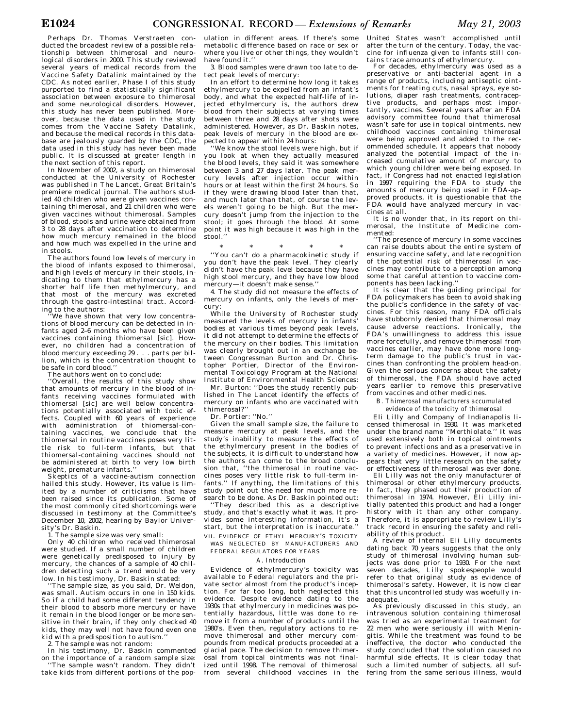Perhaps Dr. Thomas Verstraeten conducted the broadest review of a possible relationship between thimerosal and neurological disorders in 2000. This study reviewed several years of medical records from the Vaccine Safety Datalink maintained by the CDC. As noted earlier, Phase I of this study purported to find a statistically significant association between exposure to thimerosal and some neurological disorders. However, this study has never been published. Moreover, because the data used in the study comes from the Vaccine Safety Datalink, and because the medical records in this database are jealously guarded by the CDC, the data used in this study has never been made public. It is discussed at greater length in the next section of this report.

In November of 2002, a study on thimerosal conducted at the University of Rochester was published in The Lancet, Great Britain's premiere medical journal. The authors studied 40 children who were given vaccines containing thimerosal, and 21 children who were given vaccines without thimerosal. Samples of blood, stools and urine were obtained from 3 to 28 days after vaccination to determine how much mercury remained in the blood and how much was expelled in the urine and in stools.

The authors found low levels of mercury in the blood of infants exposed to thimerosal, and high levels of mercury in their stools, indicating to them that ethylmercury has a shorter half life then methylmercury, and that most of the mercury was excreted through the gastro-intestinal tract. According to the authors:

We have shown that very low concentrations of blood mercury can be detected in infants aged 2–6 months who have been given vaccines containing thiomersal [sic]. However, no children had a concentration of blood mercury exceeding 29 . . . parts per billion, which is the concentration thought to be safe in cord blood.''

The authors went on to conclude:

'Overall, the results of this study show that amounts of mercury in the blood of infants receiving vaccines formulated with thiomersal [sic] are well below concentrations potentially associated with toxic effects. Coupled with 60 years of experience with administration of thiomersal-containing vaccines, we conclude that the thiomersal in routine vaccines poses very little risk to full-term infants, but that thiomersal-containing vaccines should not be administered at birth to very low birth weight, premature infants.''

Skeptics of a vaccine-autism connection hailed this study. However, its value is limited by a number of criticisms that have been raised since its publication. Some of the most commonly cited shortcomings were discussed in testimony at the Committee's December 10, 2002, hearing by Baylor University's Dr. Baskin.

1. The sample size was very small:

Only 40 children who received thimerosal were studied. If a small number of children were genetically predisposed to injury by mercury, the chances of a sample of 40 children detecting such a trend would be very low. In his testimony, Dr. Baskin stated:

''The sample size, as you said, Dr. Weldon, was small. Autism occurs in one in 150 kids. So if a child had some different tendency in their blood to absorb more mercury or have it remain in the blood longer or be more sensitive in their brain, if they only checked 40 kids, they may well not have found even one kid with a predisposition to autism.

2. The sample was not random:

In his testimony, Dr. Baskin commented on the importance of a random sample size: The sample wasn't random. They didn't take kids from different portions of the pop-

ulation in different areas. If there's some metabolic difference based on race or sex or where you live or other things, they wouldn't have found it.''

3. Blood samples were drawn too late to detect peak levels of mercury:

In an effort to determine how long it takes ethylmercury to be expelled from an infant's body, and what the expected half-life of injected ethylmercury is, the authors drew blood from their subjects at varying times between three and 28 days after shots were administered. However, as Dr. Baskin notes, peak levels of mercury in the blood are expected to appear within 24 hours:

We know the stool levels were high, but if you look at when they actually measured the blood levels, they said it was somewhere between 3 and 27 days later. The peak mercury levels after injection occur within hours or at least within the first 24 hours. So if they were drawing blood later than that, and much later than that, of course the levels weren't going to be high. But the mercury doesn't jump from the injection to the stool; it goes through the blood. At some point it was high because it was high in the stool.''

\* \* \* \* \* ''You can't do a pharmacokinetic study if you don't have the peak level. They clearly didn't have the peak level because they have high stool mercury, and they have low blood

mercury—it doesn't make sense.'' 4. The study did not measure the effects of mercury on infants, only the levels of mercury:

While the University of Rochester study measured the levels of mercury in infants' bodies at various times beyond peak levels, it did not attempt to determine the effects of the mercury on their bodies. This limitation was clearly brought out in an exchange between Congressman Burton and Dr. Christopher Portier, Director of the Environmental Toxicology Program at the National Institute of Environmental Health Sciences:

Mr. Burton: ''Does the study recently published in The Lancet identify the effects of mercury on infants who are vaccinated with thimerosal?''

Dr. Portier: ''No.''

Given the small sample size, the failure to measure mercury at peak levels, and the study's inability to measure the effects of the ethylmercury present in the bodies of the subjects, it is difficult to understand how the authors can come to the broad conclusion that, ''the thimerosal in routine vaccines poses very little risk to full-term infants.'' If anything, the limitations of this study point out the need for much more research to be done. As Dr. Baskin pointed out:

''They described this as a descriptive study, and that's exactly what it was. It provides some interesting information, it's a start, but the interpretation is inaccurate.'' VII. EVIDENCE OF ETHYL MERCURY'S TOXICITY

WAS NEGLECTED BY MANUFACTURERS AND FEDERAL REGULATORS FOR YEARS

*A. Introduction* 

Evidence of ethylmercury's toxicity was available to Federal regulators and the private sector almost from the product's inception. For far too long, both neglected this evidence. Despite evidence dating to the 1930s that ethylmercury in medicines was potentially hazardous, little was done to remove it from a number of products until the 1980's. Even then, regulatory actions to remove thimerosal and other mercury compounds from medical products proceeded at a glacial pace. The decision to remove thimerosal from topical ointments was not finalized until 1998. The removal of thimerosal from several childhood vaccines in the United States wasn't accomplished until after the turn of the century. Today, the vaccine for influenza given to infants still contains trace amounts of ethylmercury.

For decades, ethylmercury was used as a preservative or anti-bacterial agent in a range of products, including antiseptic ointments for treating cuts, nasal sprays, eye solutions, diaper rash treatments, contraceptive products, and perhaps most importantly, vaccines. Several years after an FDA advisory committee found that thimerosal wasn't safe for use in topical ointments, new childhood vaccines containing thimerosal were being approved and added to the recommended schedule. It appears that nobody analyzed the potential impact of the increased cumulative amount of mercury to which young children were being exposed. In fact, if Congress had not enacted legislation in 1997 requiring the FDA to study the amounts of mercury being used in FDA-approved products, it is questionable that the FDA would have analyzed mercury in vaccines at all.

It is no wonder that, in its report on thimerosal, the Institute of Medicine commented:

The presence of mercury in some vaccines can raise doubts about the entire system of ensuring vaccine safety, and late recognition of the potential risk of thimerosal in vaccines may contribute to a perception among some that careful attention to vaccine components has been lacking.''

It is clear that the guiding principal for FDA policymakers has been to avoid shaking the public's confidence in the safety of vaccines. For this reason, many FDA officials have stubbornly denied that thimerosal may cause adverse reactions. Ironically, the FDA's unwillingness to address this issue more forcefully, and remove thimerosal from vaccines earlier, may have done more longterm damage to the public's trust in vaccines than confronting the problem head-on. Given the serious concerns about the safety of thimerosal, the FDA should have acted years earlier to remove this preservative from vaccines and other medicines.

*B. Thimerosal manufacturers accumulated evidence of the toxicity of thimerosal* 

Eli Lilly and Company of Indianapolis licensed thimerosal in 1930. It was marketed under the brand name ''Merthiolate.'' It was used extensively both in topical ointments to prevent infections and as a preservative in a variety of medicines. However, it now appears that very little research on the safety or effectiveness of thimerosal was ever done.

Eli Lilly was not the only manufacturer of thimerosal or other ethylmercury products. In fact, they phased out their production of thimerosal in 1974. However, Eli Lilly initially patented this product and had a longer history with it than any other company. Therefore, it is appropriate to review Lilly's track record in ensuring the safety and reliability of this product.

A review of internal Eli Lilly documents dating back 70 years suggests that the only study of thimerosal involving human subjects was done prior to 1930. For the next Lilly spokespeople would refer to that original study as evidence of thimerosal's safety. However, it is now clear that this uncontrolled study was woefully inadequate.

As previously discussed in this study, an intravenous solution containing thimerosal was tried as an experimental treatment for 22 men who were seriously ill with Meningitis. While the treatment was found to be ineffective, the doctor who conducted the study concluded that the solution caused no harmful side effects. It is clear today that such a limited number of subjects, all suffering from the same serious illness, would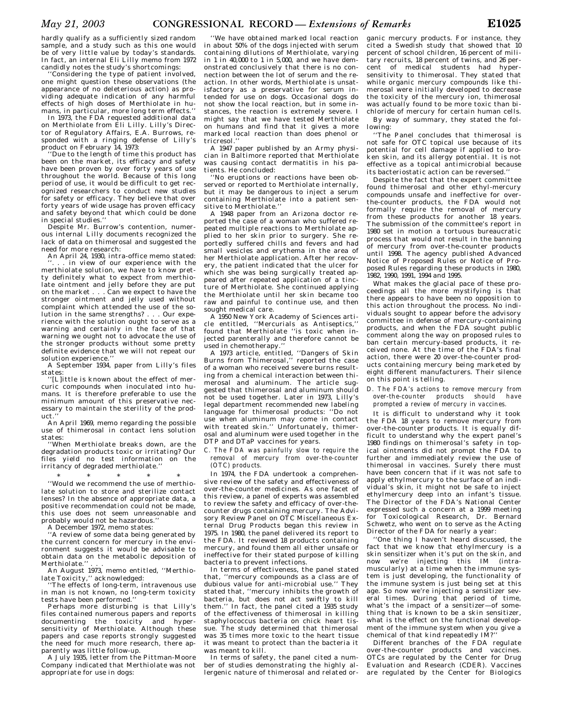hardly qualify as a sufficiently sized random sample, and a study such as this one would be of very little value by today's standards. In fact, an internal Eli Lilly memo from 1972 candidly notes the study's shortcomings:

''Considering the type of patient involved, one might question these observations (the appearance of no deleterious action) as providing adequate indication of any harmful effects of high doses of Merthiolate in humans, in particular, more long term effects.''

In 1973, the FDA requested additional data on Merthiolate from Eli Lilly. Lilly's Director of Regulatory Affairs, E.A. Burrows, responded with a ringing defense of Lilly's product on February 14, 1973:

'Due to the length of time this product has been on the market, its efficacy and safety have been proven by over forty years of use throughout the world. Because of this long period of use, it would be difficult to get recognized researchers to conduct new studies for safety or efficacy. They believe that over forty years of wide usage has proven efficacy and safety beyond that which could be done in special studies.''

Despite Mr. Burrow's contention, numerous internal Lilly documents recognized the lack of data on thimerosal and suggested the need for more research:

An April 24, 1930, intra-office memo stated: in view of our experience with the merthiolate solution, we have to know pretty definitely what to expect from merthiolate ointment and jelly before they are put on the market . . . Can we expect to have the stronger ointment and jelly used without complaint which attended the use of the solution in the same strengths? . . . Our experience with the solution ought to serve as a warning and certainly in the face of that warning we ought not to advocate the use of the stronger products without some pretty definite evidence that we will not repeat our solution experience.''

A September 1934, paper from Lilly's files states:

'[L]ittle is known about the effect of mercuric compounds when inoculated into humans. It is therefore preferable to use the minimum amount of this preservative necessary to maintain the sterility of the product.''

An April 1969, memo regarding the possible use of thimerosal in contact lens solution states:

''When Merthiolate breaks down, are the degradation products toxic or irritating? Our files yield no test information on the irritancy of degraded merthiolate.''

\* \* \* \* \* ''Would we recommend the use of merthiolate solution to store and sterilize contact lenses? In the absence of appropriate data, a positive recommendation could not be made, this use does not seem unreasonable and probably would not be hazardous.''

A December 1972, memo states:

'A review of some data being generated by the current concern for mercury in the environment suggests it would be advisable to obtain data on the metabolic deposition of Merthiolate.

An August 1973, memo entitled, ''Merthiolate Toxicity,'' acknowledged:

The effects of long-term, intravenous use in man is not known, no long-term toxicity tests have been performed.''

Perhaps more disturbing is that Lilly's files contained numerous papers and reports documenting the toxicity and hypersensitivity of Merthiolate. Although these papers and case reports strongly suggested the need for much more research, there apparently was little follow-up.

A July 1935, letter from the Pittman-Moore Company indicated that Merthiolate was not appropriate for use in dogs:

''We have obtained marked local reaction in about 50% of the dogs injected with serum containing dilutions of Merthiolate, varying in 1 in 40,000 to 1 in 5,000, and we have demonstrated conclusively that there is no connection between the lot of serum and the reaction. In other words, Merthiolate is unsatisfactory as a preservative for serum intended for use on dogs. Occasional dogs do not show the local reaction, but in some instances, the reaction is extremely severe. I might say that we have tested Merthiolate on humans and find that it gives a more marked local reaction than does phenol or tricresol.''

A 1947 paper published by an Army physician in Baltimore reported that Merthiolate was causing contact dermatitis in his patients. He concluded:

''No eruptions or reactions have been observed or reported to Merthiolate internally, but it may be dangerous to inject a serum containing Merthiolate into a patient sensitive to Merthiolate.''

A 1948 paper from an Arizona doctor reported the case of a woman who suffered repeated multiple reactions to Merthiolate applied to her skin prior to surgery. She reportedly suffered chills and fevers and had small vesicles and erythema in the area of her Merthiolate application. After her recovery, the patient indicated that the ulcer for which she was being surgically treated appeared after repeated application of a tincture of Merthiolate. She continued applying the Merthiolate until her skin became too raw and painful to continue use, and then sought medical care.

A 1950 New York Academy of Sciences article entitled, ''Mercurials as Antiseptics,'' found that Merthiolate ''is toxic when injected parenterally and therefore cannot be used in chemotherapy.

A 1973 article, entitled, ''Dangers of Skin Burns from Thimerosal,'' reported the case of a woman who received severe burns resulting from a chemical interaction between thimerosal and aluminum. The article suggested that thimerosal and aluminum should not be used together. Later in 1973, Lilly's legal department recommended new labeling language for thimerosal products: ''Do not use when aluminum may come in contact with treated skin.'' Unfortunately, thimerosal and aluminum were used together in the DTP and DTaP vaccines for years.

*C. The FDA was painfully slow to require the removal of mercury from over-the-counter (OTC) products.* 

In 1974, the FDA undertook a comprehensive review of the safety and effectiveness of over-the-counter medicines. As one facet of this review, a panel of experts was assembled to review the safety and efficacy of over-thecounter drugs containing mercury. The Advisory Review Panel on OTC Miscellaneous External Drug Products began this review in 1975. In 1980, the panel delivered its report to the FDA. It reviewed 18 products containing mercury, and found them all either unsafe or ineffective for their stated purpose of killing bacteria to prevent infections.

In terms of effectiveness, the panel stated that, ''mercury compounds as a class are of dubious value for anti-microbial use.'' They stated that, ''mercury inhibits the growth of bacteria, but does not act swiftly to kill them." In fact, the panel cited a 1935 study of the effectiveness of thimerosal in killing staphylococcus bacteria on chick heart tissue. The study determined that thimerosal was 35 times more toxic to the heart tissue it was meant to protect than the bacteria it was meant to kill.

In terms of safety, the panel cited a number of studies demonstrating the highly allergenic nature of thimerosal and related organic mercury products. For instance, they cited a Swedish study that showed that 10 percent of school children, 16 percent of military recruits, 18 percent of twins, and 26 percent of medical students had hypersensitivity to thimerosal. They stated that while organic mercury compounds like thimerosal were initially developed to decrease the toxicity of the mercury ion, thimerosal was actually found to be more toxic than bichloride of mercury for certain human cells.

By way of summary, they stated the following:

''The Panel concludes that thimerosal is not safe for OTC topical use because of its potential for cell damage if applied to broken skin, and its allergy potential. It is not effective as a topical antimicrobial because its bacteriostatic action can be reversed.''

Despite the fact that the expert committee found thimerosal and other ethyl-mercury compounds unsafe and ineffective for overthe-counter products, the FDA would not formally require the removal of mercury from these products for another 18 years. The submission of the committee's report in 1980 set in motion a tortuous bureaucratic process that would not result in the banning of mercury from over-the-counter products until 1998. The agency published Advanced Notice of Proposed Rules or Notice of Proposed Rules regarding these products in 1980, 1982, 1990, 1991, 1994 and 1995.

What makes the glacial pace of these proceedings all the more mystifying is that there appears to have been no opposition to this action throughout the process. No individuals sought to appear before the advisory committee in defense of mercury-containing products, and when the FDA sought public comment along the way on proposed rules to ban certain mercury-based products, it received none. At the time of the FDA's final action, there were 20 over-the-counter products containing mercury being marketed by eight different manufacturers. Their silence on this point is telling.

### *D. The FDA's actions to remove mercury from over-the-counter products should have prompted a review of mercury in vaccines.*

It is difficult to understand why it took the FDA 18 years to remove mercury from over-the-counter products. It is equally difficult to understand why the expert panel's 1980 findings on thimerosal's safety in topical ointments did not prompt the FDA to further and immediately review the use of thimerosal in vaccines. Surely there must have been concern that if it was not safe to apply ethylmercury to the surface of an individual's skin, it might not be safe to inject ethylmercury deep into an infant's tissue. The Director of the FDA's National Center expressed such a concern at a 1999 meeting for Toxicological Research, Dr. Bernard Schwetz, who went on to serve as the Acting Director of the FDA for nearly a year:

''One thing I haven't heard discussed, the fact that we know that ethylmercury is a skin sensitizer when it's put on the skin, and now we're injecting this IM (intramuscularly) at a time when the immune system is just developing, the functionality of the immune system is just being set at this age. So now we're injecting a sensitizer several times. During that period of time, what's the impact of a sensitizer—of something that is known to be a skin sensitizer, what is the effect on the functional development of the immune system when you give a chemical of that kind repeatedly IM?''

Different branches of the FDA regulate over-the-counter products and vaccines. OTCs are regulated by the Center for Drug Evaluation and Research (CDER). Vaccines are regulated by the Center for Biologics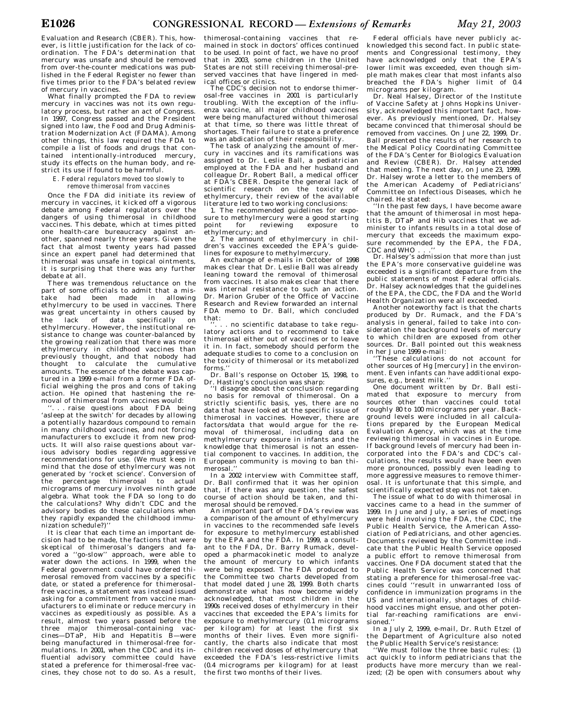Evaluation and Research (CBER). This, however, is little justification for the lack of coordination. The FDA's determination that mercury was unsafe and should be removed from over-the-counter medications was published in the Federal Register no fewer than five times prior to the FDA's belated review of mercury in vaccines.

What finally prompted the FDA to review mercury in vaccines was not its own regulatory process, but rather an act of Congress. In 1997, Congress passed and the President signed into law, the Food and Drug Administration Modernization Act (FDAMA). Among other things, this law required the FDA to compile a list of foods and drugs that contained intentionally-introduced mercury, study its effects on the human body, and restrict its use if found to be harmful.

- *E. Federal regulators moved too slowly to* 
	- *remove thimerosal from vaccines*

Once the FDA did initiate its review of mercury in vaccines, it kicked off a vigorous debate among Federal regulators over the dangers of using thimerosal in childhood vaccines. This debate, which at times pitted one health-care bureaucracy against another, spanned nearly three years. Given the fact that almost twenty years had passed since an expert panel had determined that thimerosal was unsafe in topical ointments, it is surprising that there was any further debate at all.

There was tremendous reluctance on the part of some officials to admit that a mistake had been made in allowing ethylmercury to be used in vaccines. There was great uncertainty in others caused by the lack of data specifically on ethylmercury. However, the institutional resistance to change was counter-balanced by the growing realization that there was more ethylmercury in childhood vaccines than previously thought, and that nobody had<br>thought to calculate the cumulative to calculate the cumulative amounts. The essence of the debate was captured in a 1999 e-mail from a former FDA official weighing the pros and cons of taking action. He opined that hastening the removal of thimerosal from vaccines would:

... raise questions about FDA being 'asleep at the switch' for decades by allowing a potentially hazardous compound to remain in many childhood vaccines, and not forcing manufacturers to exclude it from new products. It will also raise questions about various advisory bodies regarding aggressive recommendations for use. (We must keep in mind that the dose of ethylmercury was not generated by 'rocket science'. Conversion of the percentage thimerosal to actual micrograms of mercury involves ninth grade algebra. What took the FDA so long to do the calculations? Why didn't CDC and the advisory bodies do these calculations when they rapidly expanded the childhood immunization schedule?)''

It is clear that each time an important decision had to be made, the factions that were skeptical of thimerosal's dangers and favored a ''go-slow'' approach, were able to water down the actions. In 1999, when the Federal government could have ordered thimerosal removed from vaccines by a specific date, or stated a preference for thimerosalfree vaccines, a statement was instead issued asking for a commitment from vaccine manufacturers to eliminate or reduce mercury in vaccines as expeditiously as possible. As a result, almost two years passed before the three major thimerosal-containing vaccines—DTaP, Hib and Hepatitis B—were being manufactured in thimerosal-free formulations. In 2001, when the CDC and its influential advisory committee could have stated a preference for thimerosal-free vaccines, they chose not to do so. As a result,

thimerosal-containing vaccines that remained in stock in doctors' offices continued to be used. In point of fact, we have no proof that in 2003, some children in the United States are not still receiving thimerosal-preserved vaccines that have lingered in medical offices or clinics.

The CDC's decision not to endorse thimerosal-free vaccines in 2001 is particularly troubling. With the exception of the influenza vaccine, all major childhood vaccines were being manufactured without thimerosal at that time, so there was little threat of shortages. Their failure to state a preference was an abdication of their responsibility.

The task of analyzing the amount of mercury in vaccines and its ramifications was assigned to Dr. Leslie Ball, a pediatrician employed at the FDA and her husband and colleague Dr. Robert Ball, a medical officer at FDA's CBER. Despite the general lack of scientific research on the toxicity of ethylmercury, their review of the available literature led to two working conclusions:

1. The recommended guidelines for exposure to methylmercury were a good starting<br>point for reviewing exposure to point for reviewing exposure ethylmercury; and

2. The amount of ethylmercury in chil-dren's vaccines exceeded the EPA's guidelines for exposure to methylmercury.

An exchange of e-mails in October of 1998 makes clear that Dr. Leslie Ball was already leaning toward the removal of thimerosal from vaccines. It also makes clear that there was internal resistance to such an action. Dr. Marion Gruber of the Office of Vaccine Research and Review forwarded an internal FDA memo to Dr. Ball, which concluded that:

... no scientific database to take regulatory actions and to recommend to take thimerosal either out of vaccines or to leave it in. In fact, somebody should perform the adequate studies to come to a conclusion on the toxicity of thimerosal or its metabolized

forms.'' Dr. Ball's response on October 15, 1998, to Dr. Hasting's conclusion was sharp:

'I disagree about the conclusion regarding no basis for removal of thimerosal. On a strictly scientific basis, yes, there are no data that have looked at the specific issue of thimerosal in vaccines. However, there are factors/data that would argue for the removal of thimerosal, including data on methylmercury exposure in infants and the knowledge that thimerosal is not an essential component to vaccines. In addition, the European community is moving to ban thimerosal.''

In a 2002 interview with Committee staff, Dr. Ball confirmed that it was her opinion that, if there was any question, the safest course of action should be taken, and thimerosal should be removed.

An important part of the FDA's review was a comparison of the amount of ethylmercury in vaccines to the recommended safe levels for exposure to methylmercury established by the EPA and the FDA. In 1999, a consultant to the FDA, Dr. Barry Rumack, developed a pharmacokinetic model to analyze the amount of mercury to which infants were being exposed. The FDA produced to the Committee two charts developed from that model dated June 28, 1999. Both charts demonstrate what has now become widely acknowledged, that most children in the 1990s received doses of ethylmercury in their vaccines that exceeded the EPA's limits for exposure to methylmercury (0.1 micrograms per kilogram) for at least the first six months of their lives. Even more significantly, the charts also indicate that most children received doses of ethylmercury that exceeded the FDA's less-restrictive limits (0.4 micrograms per kilogram) for at least the first two months of their lives.

Federal officials have never publicly acknowledged this second fact. In public statements and Congressional testimony, they have acknowledged only that the EPA's lower limit was exceeded, even though simple math makes clear that most infants also breached the FDA's higher limit of 0.4 micrograms per kilogram.

Dr. Neal Halsey, Director of the Institute of Vaccine Safety at Johns Hopkins University, acknowledged this important fact, however. As previously mentioned, Dr. Halsey became convinced that thimerosal should be removed from vaccines. On June 22, 1999, Dr. Ball presented the results of her research to the Medical Policy Coordinating Committee of the FDA's Center for Biologics Evaluation and Review (CBER). Dr. Halsey attended that meeting. The next day, on June 23, 1999, Dr. Halsey wrote a letter to the members of the American Academy of Pediatricians' Committee on Infectious Diseases, which he chaired. He stated:

''In the past few days, I have become aware that the amount of thimerosal in most hepatitis B, DTaP and Hib vaccines that we administer to infants results in a total dose of mercury that exceeds the maximum exposure recommended by the EPA, the FDA, CDC and WHO . .

Dr. Halsey's admission that more than just the EPA's more conservative guideline was exceeded is a significant departure from the public statements of most Federal officials. Dr. Halsey acknowledges that the guidelines of the EPA, the CDC, the FDA and the World Health Organization were all exceeded.

Another noteworthy fact is that the charts produced by Dr. Rumack, and the FDA's analysis in general, failed to take into consideration the background levels of mercury to which children are exposed from other sources. Dr. Ball pointed out this weakness in her June 1999 e-mail:

These calculations do not account for other sources of Hg [mercury] in the environment. Even infants can have additional exposures, e.g., breast milk.''

One document written by Dr. Ball estimated that exposure to mercury from sources other than vaccines could total roughly 80 to 100 micrograms per year. Background levels were included in all calculations prepared by the European Medical Evaluation Agency, which was at the time reviewing thimerosal in vaccines in Europe. If background levels of mercury had been incorporated into the FDA's and CDC's calculations, the results would have been even more pronounced, possibly even leading to more aggressive measures to remove thimerosal. It is unfortunate that this simple, and scientifically expected step was not taken.

The issue of what to do with thimerosal in vaccines came to a head in the summer of 1999. In June and July, a series of meetings were held involving the FDA, the CDC, the Public Health Service, the American Association of Pediatricians, and other agencies. Documents reviewed by the Committee indicate that the Public Health Service opposed a public effort to remove thimerosal from vaccines. One FDA document stated that the Public Health Service was concerned that stating a preference for thimerosal-free vaccines could ''result in unwarranted loss of confidence in immunization programs in the US and internationally, shortages of childhood vaccines might ensue, and other potential far-reaching ramifications are envisioned.''

In a July 2, 1999, e-mail, Dr. Ruth Etzel of the Department of Agriculture also noted the Public Health Service's resistance:

'We must follow the three basic rules: (1) act quickly to inform pediatricians that the products have more mercury than we realized; (2) be open with consumers about why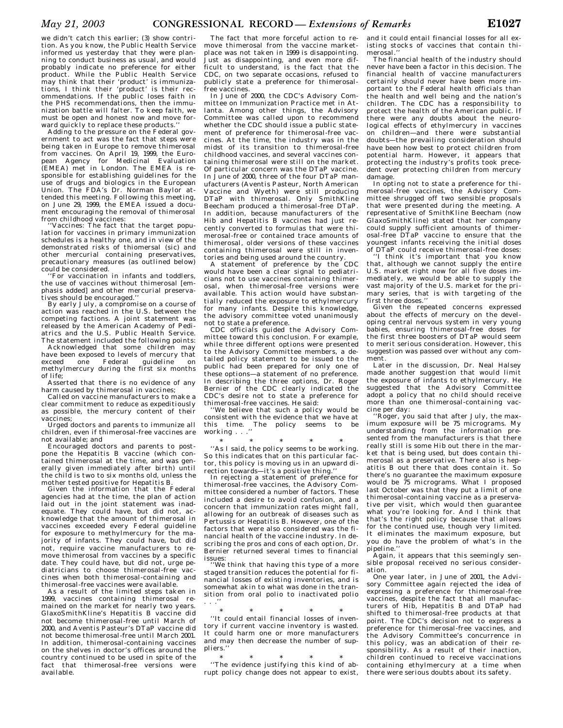we didn't catch this earlier; (3) show contrition. As you know, the Public Health Service informed us yesterday that they were planning to conduct business as usual, and would probably indicate no preference for either product. While the Public Health Service may think that their 'product' is immunizations, I think their 'product' is their recommendations. If the public loses faith in the PHS recommendations, then the immunization battle will falter. To keep faith, we must be open and honest now and move forward quickly to replace these products.

Adding to the pressure on the Federal government to act was the fact that steps were being taken in Europe to remove thimerosal from vaccines. On April 19, 1999, the European Agency for Medicinal Evaluation (EMEA) met in London. The EMEA is responsible for establishing guidelines for the use of drugs and biologics in the European Union. The FDA's Dr. Norman Baylor attended this meeting. Following this meeting, on June 29, 1999, the EMEA issued a document encouraging the removal of thimerosal from childhood vaccines:

Vaccines: The fact that the target population for vaccines in primary immunization schedules is a healthy one, and in view of the demonstrated risks of thiomersal (sic) and other mercurial containing preservatives, precautionary measures (as outlined below) could be considered.

'For vaccination in infants and toddlers, the use of vaccines without thimerosal [emphasis added] and other mercurial preservatives should be encouraged.''

By early July, a compromise on a course of action was reached in the U.S. between the competing factions. A joint statement was released by the American Academy of Pediatrics and the U.S. Public Health Service. The statement included the following points:

Acknowledged that some children may have been exposed to levels of mercury that<br>exceed one Federal guideline on exceed one Federal guideline methylmercury during the first six months of life;

Asserted that there is no evidence of any harm caused by thimerosal in vaccines;

Called on vaccine manufacturers to make a clear commitment to reduce as expeditiously as possible, the mercury content of their vaccines;

Urged doctors and parents to immunize all children, even if thimerosal-free vaccines are not available; and

Encouraged doctors and parents to postpone the Hepatitis B vaccine (which contained thimerosal at the time, and was generally given immediately after birth) until the child is two to six months old, unless the mother tested positive for Hepatitis B.

Given the information that the Federal agencies had at the time, the plan of action laid out in the joint statement was inadequate. They could have, but did not, acknowledge that the amount of thimerosal in vaccines exceeded every Federal guideline for exposure to methylmercury for the majority of infants. They could have, but did not, require vaccine manufacturers to remove thimerosal from vaccines by a specific date. They could have, but did not, urge pediatricians to choose thimerosal-free vaccines when both thimerosal-containing and thimerosal-free vaccines were available.

As a result of the limited steps taken in 1999, vaccines containing thimerosal remained on the market for nearly two years. GlaxoSmithKline's Hepatitis B vaccine did not become thimerosal-free until March of 2000, and Aventis Pasteur's DTaP vaccine did not become thimerosal-free until March 2001. In addition, thimerosal-containing vaccines on the shelves in doctor's offices around the country continued to be used in spite of the fact that thimerosal-free versions were available.

The fact that more forceful action to remove thimerosal from the vaccine marketplace was not taken in 1999 is disappointing. Just as disappointing, and even more difficult to understand, is the fact that the CDC, on two separate occasions, refused to publicly state a preference for thimerosal-

free vaccines. In June of 2000, the CDC's Advisory Committee on Immunization Practice met in Atlanta. Among other things, the Advisory Committee was called upon to recommend whether the CDC should issue a public statement of preference for thimerosal-free vaccines. At the time, the industry was in the midst of its transition to thimerosal-free childhood vaccines, and several vaccines containing thimerosal were still on the market. Of particular concern was the DTaP vaccine. In June of 2000, three of the four DTaP manufacturers (Aventis Pasteur, North American Vaccine and Wyeth) were still producing DTaP with thimerosal. Only SmithKline Beecham produced a thimerosal-free DTaP. In addition, because manufacturers of the Hib and Hepatitis B vaccines had just recently converted to formulas that were thimerosal-free or contained trace amounts of thimerosal, older versions of these vaccines containing thimerosal were still in inventories and being used around the country.

A statement of preference by the CDC would have been a clear signal to pediatricians not to use vaccines containing thimerosal, when thimerosal-free versions were available. This action would have substantially reduced the exposure to ethylmercury for many infants. Despite this knowledge, the advisory committee voted unanimously not to state a preference.

CDC officials guided the Advisory Committee toward this conclusion. For example, while three different options were presented to the Advisory Committee members, a detailed policy statement to be issued to the public had been prepared for only one of these options—a statement of no preference. In describing the three options, Dr. Roger Bernier of the CDC clearly indicated the CDC's desire not to state a preference for thimerosal-free vaccines. He said:

''We believe that such a policy would be consistent with the evidence that we have at this time. The policy seems to be working . . .

\* \* \* \* \* ''As I said, the policy seems to be working. So this indicates that on this particular factor, this policy is moving us in an upward direction towards—it's a positive thing.

In rejecting a statement of preference for thimerosal-free vaccines, the Advisory Committee considered a number of factors. These included a desire to avoid confusion, and a concern that immunization rates might fall, allowing for an outbreak of diseases such as Pertussis or Hepatitis B. However, one of the factors that were also considered was the financial health of the vaccine industry. In describing the pros and cons of each option, Dr. Bernier returned several times to financial issues:

''We think that having this type of a more staged transition reduces the potential for financial losses of existing inventories, and is somewhat akin to what was done in the transition from oral polio to inactivated polio . . .''

\* \* \* \* \* ''It could entail financial losses of inventory if current vaccine inventory is wasted. It could harm one or more manufacturers and may then decrease the number of suppliers.''

\* \* \* \* \* ''The evidence justifying this kind of abrupt policy change does not appear to exist, and it could entail financial losses for all existing stocks of vaccines that contain thimerosal.''

The financial health of the industry should never have been a factor in this decision. The financial health of vaccine manufacturers certainly should never have been more important to the Federal health officials than the health and well being and the nation's children. The CDC has a responsibility to protect the health of the American public. If there were any doubts about the neurological effects of ethylmercury in vaccines on children—and there were substantial doubts—the prevailing consideration should have been how best to protect children from potential harm. However, it appears that protecting the industry's profits took precedent over protecting children from mercury damage.

In opting not to state a preference for thimerosal-free vaccines, the Advisory Committee shrugged off two sensible proposals that were presented during the meeting. A representative of SmithKline Beecham (now GlaxoSmithKline) stated that her company could supply sufficient amounts of thimerosal-free DTaP vaccine to ensure that the youngest infants receiving the initial doses of DTaP could receive thimerosal-free doses:

'I think it's important that you know that, although we cannot supply the entire U.S. market right now for all five doses immediately, we would be able to supply the vast majority of the U.S. market for the primary series, that is with targeting of the first three doses.'

Given the repeated concerns expressed about the effects of mercury on the developing central nervous system in very young babies, ensuring thimerosal-free doses for the first three boosters of DTaP would seem to merit serious consideration. However, this suggestion was passed over without any comment.

Later in the discussion, Dr. Neal Halsey made another suggestion that would limit the exposure of infants to ethylmercury. He suggested that the Advisory Committee adopt a policy that no child should receive more than one thimerosal-containing vaccine per day:

''Roger, you said that after July, the maximum exposure will be 75 micrograms. My understanding from the information presented from the manufacturers is that there really still is some Hib out there in the market that is being used, but does contain thimerosal as a preservative. There also is hepatitis B out there that does contain it. So there's no guarantee the maximum exposure would be 75 micrograms. What I proposed last October was that they put a limit of one thimerosal-containing vaccine as a preservative per visit, which would then guarantee what you're looking for. And I think that that's the right policy because that allows for the continued use, though very limited. It eliminates the maximum exposure, but you do have the problem of what's in the pipeline.

Again, it appears that this seemingly sensible proposal received no serious consideration.

One year later, in June of 2001, the Advisory Committee again rejected the idea of expressing a preference for thimerosal-free vaccines, despite the fact that all manufacturers of Hib, Hepatitis B and DTaP had shifted to thimerosal-free products at that point. The CDC's decision not to express a preference for thimerosal-free vaccines, and the Advisory Committee's concurrence in this policy, was an abdication of their responsibility. As a result of their inaction, children continued to receive vaccinations containing ethylmercury at a time when there were serious doubts about its safety.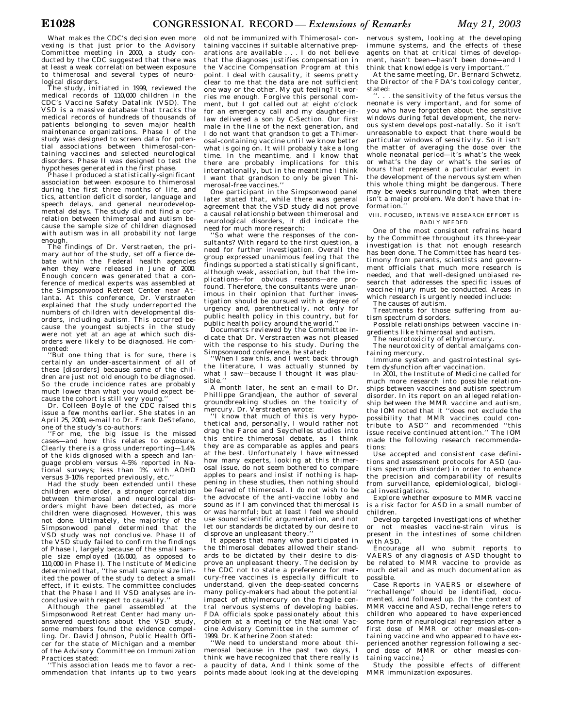What makes the CDC's decision even more vexing is that just prior to the Advisory Committee meeting in 2000, a study conducted by the CDC suggested that there was at least a weak correlation between exposure to thimerosal and several types of neurological disorders.

The study, initiated in 1999, reviewed the medical records of 110,000 children in the CDC's Vaccine Safety Datalink (VSD). The VSD is a massive database that tracks the medical records of hundreds of thousands of patients belonging to seven major health maintenance organizations. Phase I of the study was designed to screen data for potential associations between thimerosal-containing vaccines and selected neurological disorders. Phase II was designed to test the hypotheses generated in the first phase.

Phase I produced a statistically-significant association between exposure to thimerosal during the first three months of life, and tics, attention deficit disorder, language and speech delays, and general neurodevelopmental delays. The study did not find a correlation between thimerosal and autism because the sample size of children diagnosed with autism was in all probability not large enough.

The findings of Dr. Verstraeten, the primary author of the study, set off a fierce debate within the Federal health agencies when they were released in June of 2000. Enough concern was generated that a conference of medical experts was assembled at the Simpsonwood Retreat Center near Atlanta. At this conference, Dr. Verstraeten explained that the study underreported the numbers of children with developmental disorders, including autism. This occurred because the youngest subjects in the study were not yet at an age at which such disorders were likely to be diagnosed. He commented:

''But one thing that is for sure, there is certainly an under-ascertainment of all of these [disorders] because some of the children are just not old enough to be diagnosed. So the crude incidence rates are probably much lower than what you would expect be-

cause the cohort is still very young.'' Dr. Colleen Boyle of the CDC raised this issue a few months earlier. She states in an April 25, 2000, e-mail to Dr. Frank DeStefano, one of the study's co-authors:

''For me, the big issue is the missed cases—and how this relates to exposure. Clearly there is a gross underreporting—1.4% of the kids dignosed with a speech and language problem versus 4–5% reported in National surveys; less than 1% with ADHD versus 3–10% reported previously, etc.''

Had the study been extended until these children were older, a stronger correlation between thimerosal and neurological disorders might have been detected, as more children were diagnosed. However, this was not done. Ultimately, the majority of the Simpsonwood panel determined that the VSD study was not conclusive. Phase II of the VSD study failed to confirm the findings of Phase I, largely because of the small sample size employed (16,000, as opposed to 110,000 in Phase I). The Institute of Medicine determined that, ''the small sample size limited the power of the study to detect a small effect, if it exists. The committee concludes that the Phase I and II VSD analyses are inconclusive with respect to causality.

Although the panel assembled at the Simpsonwood Retreat Center had many unanswered questions about the VSD study, some members found the evidence compelling. Dr. David Johnson, Public Health Officer for the state of Michigan and a member of the Advisory Committee on Immunization Practices stated:

This association leads me to favor a recommendation that infants up to two years

old not be immunized with Thimerosal- containing vaccines if suitable alternative preparations are available . . . I do not believe that the diagnoses justifies compensation in the Vaccine Compensation Program at this point. I deal with causality, it seems pretty clear to me that the data are not sufficient one way or the other. My gut feeling? It worries me enough. Forgive this personal comment, but I got called out at eight o'clock for an emergency call and my daughter-inlaw delivered a son by C-Section. Our first male in the line of the next generation, and I do not want that grandson to get a Thimerosal-containing vaccine until we know better what is going on. It will probably take a long time. In the meantime, and I know that there are probably implications for this internationally, but in the meantime I think I want that grandson to only be given Thimerosal-free vaccines

One participant in the Simpsonwood panel later stated that, while there was general agreement that the VSD study did not prove a causal relationship between thimerosal and neurological disorders, it did indicate the need for much more research:

So what were the responses of the consultants? With regard to the first question, a need for further investigation. Overall the group expressed unanimous feeling that the findings supported a statistically significant, although weak, association, but that the implications—for obvious reasons—are profound. Therefore, the consultants were unanimous in their opinion that further investigation should be pursued with a degree of urgency and, parenthetically, not only for public health policy in this country, but for public health policy around the world.''

Documents reviewed by the Committee indicate that Dr. Verstraeten was not pleased with the response to his study. During the Simpsonwood conference, he stated:

'When I saw this, and I went back through the literature, I was actually stunned by what I saw—because I thought it was plausible.''

A month later, he sent an e-mail to Dr. Phillippe Grandjean, the author of several groundbreaking studies on the toxicity of mercury. Dr. Verstraeten wrote:

'I know that much of this is very hypothetical and, personally, I would rather not drag the Faroe and Seychelles studies into this entire thimerosal debate, as I think they are as comparable as apples and pears at the best. Unfortunately I have witnessed how many experts, looking at this thimerosal issue, do not seem bothered to compare apples to pears and insist if nothing is happening in these studies, then nothing should be feared of thimerosal. I do not wish to be the advocate of the anti-vaccine lobby and sound as if I am convinced that thimerosal is or was harmful; but at least I feel we should use sound scientific argumentation, and not let our standards be dictated by our desire to disprove an unpleasant theory.''

It appears that many who participated in the thimerosal debates allowed their standards to be dictated by their desire to disprove an unpleasant theory. The decision by the CDC not to state a preference for mercury-free vaccines is especially difficult to understand, given the deep-seated concerns many policy-makers had about the potential impact of ethylmercury on the fragile central nervous systems of developing babies. FDA officials spoke passionately about this problem at a meeting of the National Vaccine Advisory Committee in the summer of 1999. Dr. Katherine Zoon stated:

'We need to understand more about thimerosal because in the past two days, I think we have recognized that there really is a paucity of data, And I think some of the points made about looking at the developing

nervous system, looking at the developing immune systems, and the effects of these agents on that at critical times of development, hasn't been—hasn't been done—and I think that knowledge is very important.''

At the same meeting, Dr. Bernard Schwetz, the Director of the FDA's toxicology center, stated:

... the sensitivity of the fetus versus the neonate is very important, and for some of you who have forgotten about the sensitive windows during fetal development, the nervous system develops post-natally. So it isn't unreasonable to expect that there would be particular windows of sensitivity. So it isn't the matter of averaging the dose over the whole neonatal period—it's what's the week or what's the day or what's the series of hours that represent a particular event in the development of the nervous system when this whole thing might be dangerous. There may be weeks surrounding that when there isn't a major problem. We don't have that information.

### VIII. FOCUSED, INTENSIVE RESEARCH EFFORT IS BADLY NEEDED

One of the most consistent refrains heard by the Committee throughout its three-year investigation is that not enough research has been done. The Committee has heard testimony from parents, scientists and government officials that much more research is needed, and that well-designed unbiased research that addresses the specific issues of vaccine-injury must be conducted. Areas in which research is urgently needed include: The causes of autism.

Treatments for those suffering from autism spectrum disorders.

Possible relationships between vaccine ingredients like thimerosal and autism.

The neurotoxicity of ethylmercury.

The neurotoxicity of dental amalgams containing mercury.

Immune system and gastrointestinal system dysfunction after vaccination.

In 2001, the Institute of Medicine called for much more research into possible relationships between vaccines and autism spectrum disorder. In its report on an alleged relationship between the MMR vaccine and autism, the IOM noted that it ''does not exclude the possibility that MMR vaccines could contribute to ASD'' and recommended ''this issue receive continued attention.'' The IOM made the following research recommendations:

Use accepted and consistent case definitions and assessment protocols for ASD (autism spectrum disorder) in order to enhance the precision and comparability of results from surveillance, epidemiological, biological investigations.

Explore whether exposure to MMR vaccine is a risk factor for ASD in a small number of children.

Develop targeted investigations of whether or not measles vaccine-strain virus is present in the intestines of some children with ASD.

Encourage all who submit reports to VAERS of any diagnosis of ASD thought to be related to MMR vaccine to provide as much detail and as much documentation as possible.

Case Reports in VAERS or elsewhere of ''rechallenge'' should be identified, documented, and followed up. (In the context of MMR vaccine and ASD, rechallenge refers to children who appeared to have experienced some form of neurological regression after a first dose of MMR or other measles-containing vaccine and who appeared to have experienced another regression following a second dose of MMR or other measles-containing vaccine.)

Study the possible effects of different MMR immunization exposures.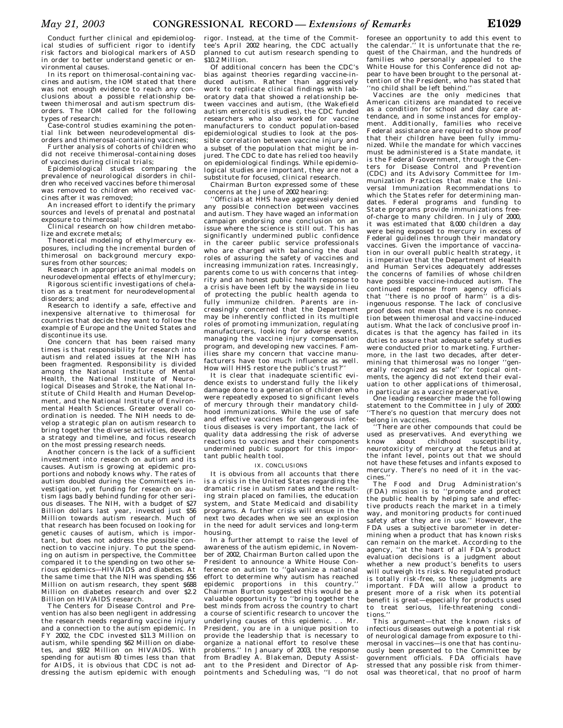Conduct further clinical and epidemiological studies of sufficient rigor to identify risk factors and biological markers of ASD in order to better understand genetic or environmental causes.

In its report on thimerosal-containing vaccines and autism, the IOM stated that there was not enough evidence to reach any conclusions about a possible relationship between thimerosal and autism spectrum disorders. The IOM called for the following types of research:

Case-control studies examining the potential link between neurodevelopmental disorders and thimerosal-containing vaccines;

Further analysis of cohorts of children who did not receive thimerosal-containing doses of vaccines during clinical trials;

Epidemiological studies comparing the prevalence of neurological disorders in children who received vaccines before thimerosal was removed to children who received vaccines after it was removed;

An increased effort to identify the primary sources and levels of prenatal and postnatal exposure to thimerosal;

Clinical research on how children metabolize and excrete metals;

Theoretical modeling of ethylmercury exposures, including the incremental burden of thimerosal on background mercury exposures from other sources:

Research in appropriate animal models on neurodevelopmental effects of ethylmercury; Rigorous scientific investigations of chela-

tion as a treatment for neurodevelopmental disorders; and

Research to identify a safe, effective and inexpensive alternative to thimerosal for countries that decide they want to follow the example of Europe and the United States and discontinue its use.

One concern that has been raised many times is that responsibility for research into autism and related issues at the NIH has been fragmented. Responsibility is divided among the National Institute of Mental Health, the National Institute of Neurological Diseases and Stroke, the National Institute of Child Health and Human Development, and the National Institute of Environmental Health Sciences. Greater overall coordination is needed. The NIH needs to develop a strategic plan on autism research to bring together the diverse activities, develop a strategy and timeline, and focus research on the most pressing research needs.

Another concern is the lack of a sufficient investment into research on autism and its causes. Autism is growing at epidemic proportions and nobody knows why. The rates of autism doubled during the Committee's investigation, yet funding for research on autism lags badly behind funding for other serious diseases. The NIH, with a budget of \$27 Billion dollars last year, invested just \$56 Million towards autism research. Much of that research has been focused on looking for genetic causes of autism, which is important, but does not address the possible connection to vaccine injury. To put the spending on autism in perspective, the Committee compared it to the spending on two other serious epidemics—HIV/AIDS and diabetes. At the same time that the NIH was spending \$56 Million on autism research, they spent \$688 Million on diabetes research and over \$2.2 Billion on HIV/AIDS research.

The Centers for Disease Control and Prevention has also been negligent in addressing the research needs regarding vaccine injury and a connection to the autism epidemic. In FY 2002, the CDC invested \$11.3 Million on autism, while spending \$62 Million on diabetes, and \$932 Million on HIV/AIDS. With spending for autism 80 times less than that for AIDS, it is obvious that CDC is not addressing the autism epidemic with enough rigor. Instead, at the time of the Committee's April 2002 hearing, the CDC actually planned to cut autism research spending to \$10.2 Million.

Of additional concern has been the CDC's bias against theories regarding vaccine-induced autism. Rather than aggressively work to replicate clinical findings with laboratory data that showed a relationship between vaccines and autism, (the Wakefield autism entercolitis studies), the CDC funded researchers who also worked for vaccine manufacturers to conduct population-based epidemiological studies to look at the possible correlation between vaccine injury and a subset of the population that might be injured. The CDC to date has relied too heavily on epidemiological findings. While epidemiological studies are important, they are not a substitute for focused, clinical research.

Chairman Burton expressed some of these concerns at the June of 2002 hearing:

'Officials at HHS have aggressively denied any possible connection between vaccines and autism. They have waged an information campaign endorsing one conclusion on an issue where the science is still out. This has significantly undermined public confidence in the career public service professionals who are charged with balancing the dual roles of assuring the safety of vaccines and increasing immunization rates. Increasingly, parents come to us with concerns that integrity and an honest public health response to a crisis have been left by the wayside in lieu of protecting the public health agenda to fully immunize children. Parents are increasingly concerned that the Department may be inherently conflicted in its multiple roles of promoting immunization, regulating manufacturers, looking for adverse events, managing the vaccine injury compensation program, and developing new vaccines. Families share my concern that vaccine manufacturers have too much influence as well. How will HHS restore the public's trust?''

It is clear that inadequate scientific evidence exists to understand fully the likely damage done to a generation of children who were repeatedly exposed to significant levels of mercury through their mandatory childhood immunizations. While the use of safe and effective vaccines for dangerous infectious diseases is very important, the lack of quality data addressing the risk of adverse reactions to vaccines and their components undermined public support for this important public health tool.

#### IX. CONCLUSIONS

It is obvious from all accounts that there is a crisis in the United States regarding the dramatic rise in autism rates and the resulting strain placed on families, the education system, and State Medicaid and disability programs. A further crisis will ensue in the next two decades when we see an explosion in the need for adult services and long-term housing.

In a further attempt to raise the level of awareness of the autism epidemic, in November of 2002, Chairman Burton called upon the President to announce a White House Conference on autism to ''galvanize a national effort to determine why autism has reached epidemic proportions in this country.'' Chairman Burton suggested this would be a valuable opportunity to ''bring together the best minds from across the country to chart a course of scientific research to uncover the underlying causes of this epidemic. . . Mr. President, you are in a unique position to provide the leadership that is necessary to organize a national effort to resolve these problems.'' In January of 2003, the response from Bradley A. Blakeman, Deputy Assistant to the President and Director of Appointments and Scheduling was, ''I do not

foresee an opportunity to add this event to the calendar.'' It is unfortunate that the re-quest of the Chairman, and the hundreds of families who personally appealed to the White House for this Conference did not appear to have been brought to the personal attention of the President, who has stated that ''no child shall be left behind.''

Vaccines are the only medicines that American citizens are mandated to receive as a condition for school and day care attendance, and in some instances for employment. Additionally, families who receive Federal assistance are required to show proof that their children have been fully immunized. While the mandate for which vaccines must be administered is a State mandate, it is the Federal Government, through the Centers for Disease Control and Prevention (CDC) and its Advisory Committee for Immunization Practices that make the Universal Immunization Recommendations to which the States refer for determining mandates. Federal programs and funding to State programs provide immunizations freeof-charge to many children. In July of 2000, it was estimated that 8,000 children a day were being exposed to mercury in excess of Federal guidelines through their mandatory vaccines. Given the importance of vaccination in our overall public health strategy, it is imperative that the Department of Health and Human Services adequately addresses the concerns of families of whose children have possible vaccine-induced autism. The continued response from agency officials that ''there is no proof of harm'' is a disingenuous response. The lack of conclusive proof does not mean that there is no connection between thimerosal and vaccine-induced autism. What the lack of conclusive proof indicates is that the agency has failed in its duties to assure that adequate safety studies were conducted prior to marketing. Furthermore, in the last two decades, after determining that thimerosal was no longer ''generally recognized as safe'' for topical ointments, the agency did not extend their evaluation to other applications of thimerosal, in particular as a vaccine preservative.

One leading researcher made the following statement to the Committee in July of 2000: 'There's no question that mercury does not belong in vaccines.

There are other compounds that could be used as preservatives. And everything we<br>know about childhood susceptibility,  $know \quad about \quad childhood$ neurotoxicity of mercury at the fetus and at the infant level, points out that we should not have these fetuses and infants exposed to mercury. There's no need of it in the vaccines.

The Food and Drug Administration's (FDA) mission is to ''promote and protect the public health by helping safe and effective products reach the market in a timely way, and monitoring products for continued safety after they are in use.'' However, the FDA uses a subjective barometer in determining when a product that has known risks can remain on the market. According to the agency, ''at the heart of all FDA's product evaluation decisions is a judgment about whether a new product's benefits to users will outweigh its risks. No regulated product is totally risk-free, so these judgments are important. FDA will allow a product to present more of a risk when its potential benefit is great—especially for products used to treat serious, life-threatening conditions.''

This argument—that the known risks of infectious diseases outweigh a potential risk of neurological damage from exposure to thimerosal in vaccines—is one that has continuously been presented to the Committee by government officials. FDA officials have stressed that any possible risk from thimerosal was theoretical, that no proof of harm